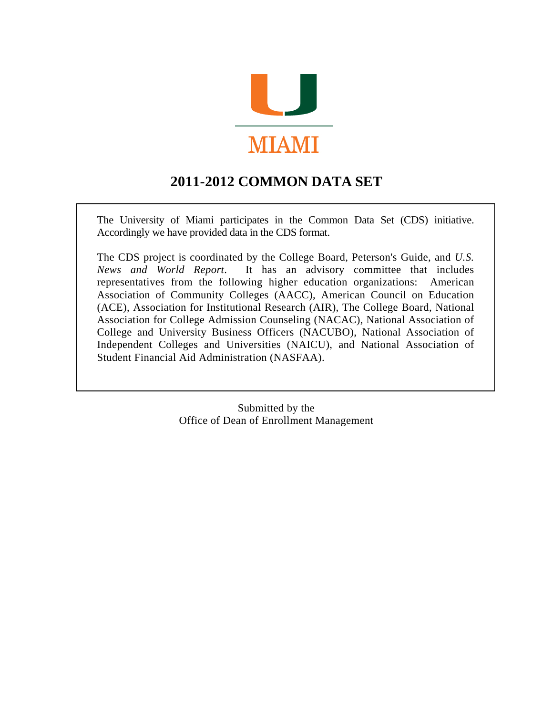

# **2011-2012 COMMON DATA SET**

The University of Miami participates in the Common Data Set (CDS) initiative. Accordingly we have provided data in the CDS format.

The CDS project is coordinated by the College Board, Peterson's Guide, and *U.S. News and World Report*. It has an advisory committee that includes representatives from the following higher education organizations: American Association of Community Colleges (AACC), American Council on Education (ACE), Association for Institutional Research (AIR), The College Board, National Association for College Admission Counseling (NACAC), National Association of College and University Business Officers (NACUBO), National Association of Independent Colleges and Universities (NAICU), and National Association of Student Financial Aid Administration (NASFAA).

> Submitted by the Office of Dean of Enrollment Management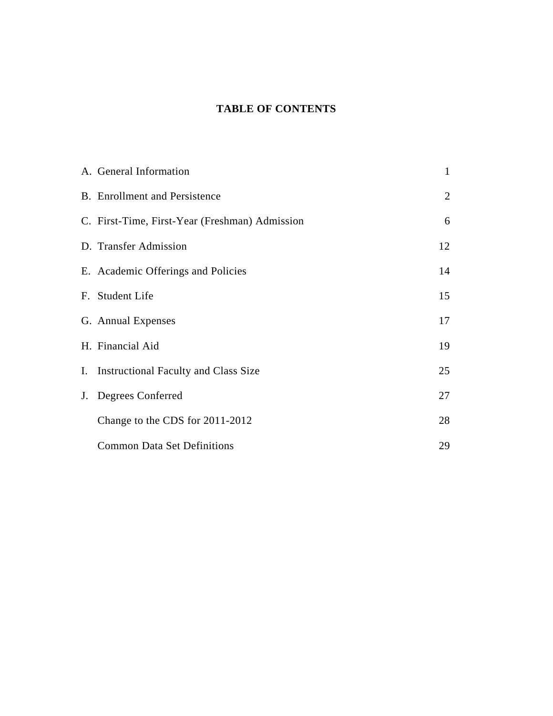## **TABLE OF CONTENTS**

| A. General Information                         | $\mathbf{1}$ |
|------------------------------------------------|--------------|
| <b>B.</b> Enrollment and Persistence           | 2            |
| C. First-Time, First-Year (Freshman) Admission | 6            |
| D. Transfer Admission                          | 12           |
| E. Academic Offerings and Policies             | 14           |
| F. Student Life                                | 15           |
| G. Annual Expenses                             | 17           |
| H. Financial Aid                               | 19           |
| I. Instructional Faculty and Class Size        | 25           |
| J. Degrees Conferred                           | 27           |
| Change to the CDS for 2011-2012                | 28           |
| <b>Common Data Set Definitions</b>             | 29           |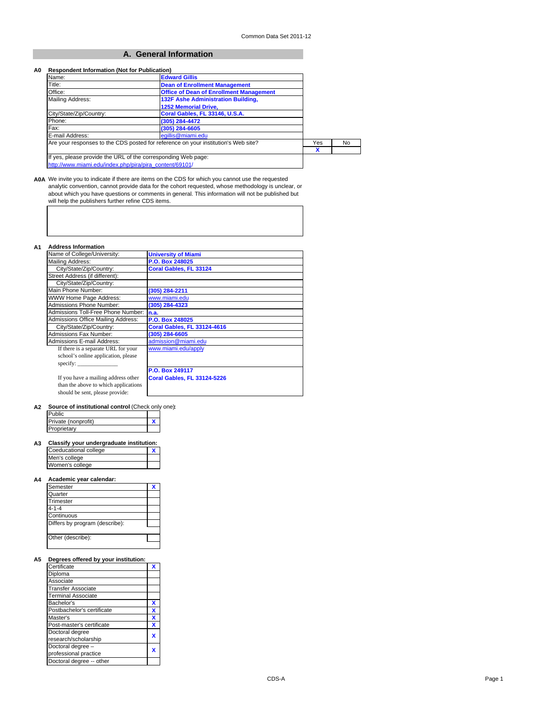#### **A. General Information**

#### **A0 Respondent Information (Not for Publication)**

| Name:                                                                              | <b>Edward Gillis</b>                           |   |    |
|------------------------------------------------------------------------------------|------------------------------------------------|---|----|
| Title:                                                                             | <b>Dean of Enrollment Management</b>           |   |    |
| Office:                                                                            | <b>Office of Dean of Enrollment Management</b> |   |    |
| Mailing Address:                                                                   | <b>132F Ashe Administration Building,</b>      |   |    |
|                                                                                    | <b>1252 Memorial Drive.</b>                    |   |    |
| City/State/Zip/Country:                                                            | Coral Gables, FL 33146, U.S.A.                 |   |    |
| Phone:                                                                             | (305) 284-4472                                 |   |    |
| Fax:                                                                               | (305) 284-6605                                 |   |    |
| E-mail Address:                                                                    | eqillis@miami.edu                              |   |    |
| Are your responses to the CDS posted for reference on your institution's Web site? |                                                |   | No |
|                                                                                    |                                                | χ |    |
| If yes, please provide the URL of the corresponding Web page:                      |                                                |   |    |
| http://www.miami.edu/index.php/pira/pira_content/69101/                            |                                                |   |    |

**A0A** We invite you to indicate if there are items on the CDS for which you cannot use the requested analytic convention, cannot provide data for the cohort requested, whose methodology is unclear, or about which you have questions or comments in general. This information will not be published but will help the publishers further refine CDS items.

#### **A1 Address Information**

| Name of College/University:          | <b>University of Miami</b>         |
|--------------------------------------|------------------------------------|
| Mailing Address:                     | P.O. Box 248025                    |
| City/State/Zip/Country:              | Coral Gables, FL 33124             |
| Street Address (if different):       |                                    |
| City/State/Zip/Country:              |                                    |
| Main Phone Number:                   | (305) 284-2211                     |
| WWW Home Page Address:               | www.miami.edu                      |
| <b>Admissions Phone Number:</b>      | (305) 284-4323                     |
| Admissions Toll-Free Phone Number:   | n.a.                               |
| Admissions Office Mailing Address:   | P.O. Box 248025                    |
| City/State/Zip/Country:              | <b>Coral Gables, FL 33124-4616</b> |
| <b>Admissions Fax Number:</b>        | (305) 284-6605                     |
| <b>Admissions E-mail Address:</b>    | admission@miami.edu                |
| If there is a separate URL for your  | www.miami.edu/apply                |
| school's online application, please  |                                    |
| specify:                             |                                    |
|                                      | P.O. Box 249117                    |
| If you have a mailing address other  | <b>Coral Gables, FL 33124-5226</b> |
| than the above to which applications |                                    |
| should be sent, please provide:      |                                    |
|                                      |                                    |

#### **A2 Source of institutional control** (Check only one)**:**

| Public              |  |
|---------------------|--|
| Private (nonprofit) |  |
| Proprietary         |  |

#### **A3 Classify your undergraduate institution:**

| Coeducational college |  |
|-----------------------|--|
| Men's college         |  |
| Women's college       |  |

#### **A4 Academic year calendar:**

| Semester                       |  |
|--------------------------------|--|
| Quarter                        |  |
| Trimester                      |  |
| $4 - 1 - 4$                    |  |
| Continuous                     |  |
| Differs by program (describe): |  |
|                                |  |
| Other (describe):              |  |
|                                |  |

## **A5 Degrees offered by your institution:** Certificate **X**

| Certilicate                |   |
|----------------------------|---|
| Diploma                    |   |
| Associate                  |   |
| Transfer Associate         |   |
| <b>Terminal Associate</b>  |   |
| Bachelor's                 |   |
| Postbachelor's certificate | X |
| Master's                   | x |
| Post-master's certificate  | x |
| Doctoral degree            |   |
| research/scholarship       |   |
| Doctoral degree -          |   |
| professional practice      |   |
| Doctoral degree -- other   |   |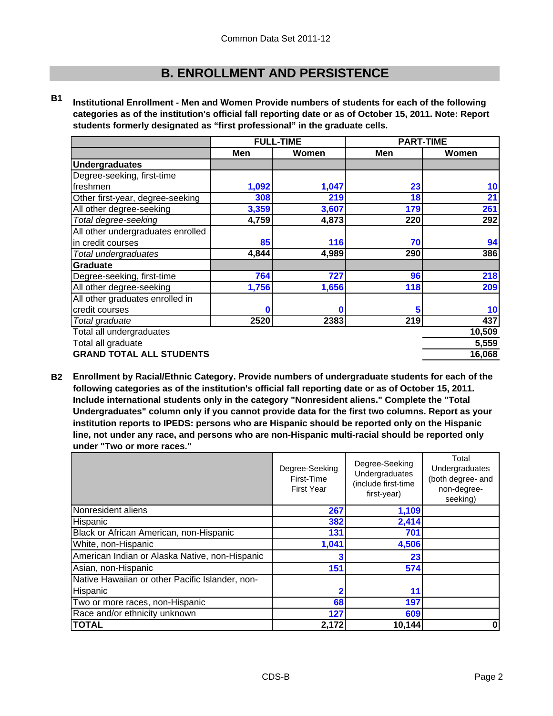## **B. ENROLLMENT AND PERSISTENCE**

**B1 Institutional Enrollment - Men and Women Provide numbers of students for each of the following categories as of the institution's official fall reporting date or as of October 15, 2011. Note: Report students formerly designated as "first professional" in the graduate cells.**

|                                   | <b>FULL-TIME</b> |       | <b>PART-TIME</b> |        |
|-----------------------------------|------------------|-------|------------------|--------|
|                                   | Men              | Women | <b>Men</b>       | Women  |
| <b>Undergraduates</b>             |                  |       |                  |        |
| Degree-seeking, first-time        |                  |       |                  |        |
| freshmen                          | 1,092            | 1,047 | 23               | 10     |
| Other first-year, degree-seeking  | 308              | 219   | 18               | 21     |
| All other degree-seeking          | 3,359            | 3,607 | 179              | 261    |
| Total degree-seeking              | 4,759            | 4,873 | 220              | 292    |
| All other undergraduates enrolled |                  |       |                  |        |
| in credit courses                 | 85               | 116   | 70               | 94     |
| Total undergraduates              | 4,844            | 4,989 | 290              | 386    |
| Graduate                          |                  |       |                  |        |
| Degree-seeking, first-time        | 764              | 727   | 96               | 218    |
| All other degree-seeking          | 1,756            | 1,656 | 118              | 209    |
| All other graduates enrolled in   |                  |       |                  |        |
| credit courses                    | 0                |       | 5                | 10     |
| Total graduate                    | 2520             | 2383  | 219              | 437    |
| Total all undergraduates          |                  |       |                  | 10,509 |
| Total all graduate                |                  |       |                  | 5,559  |
| <b>GRAND TOTAL ALL STUDENTS</b>   |                  |       |                  | 16,068 |

**B2 Enrollment by Racial/Ethnic Category. Provide numbers of undergraduate students for each of the following categories as of the institution's official fall reporting date or as of October 15, 2011. Include international students only in the category "Nonresident aliens." Complete the "Total Undergraduates" column only if you cannot provide data for the first two columns. Report as your institution reports to IPEDS: persons who are Hispanic should be reported only on the Hispanic line, not under any race, and persons who are non-Hispanic multi-racial should be reported only under "Two or more races."** 

|                                                 | Degree-Seeking<br>First-Time<br><b>First Year</b> | Degree-Seeking<br>Undergraduates<br>(include first-time<br>first-year) | Total<br>Undergraduates<br>(both degree- and<br>non-degree-<br>seeking) |
|-------------------------------------------------|---------------------------------------------------|------------------------------------------------------------------------|-------------------------------------------------------------------------|
| Nonresident aliens                              | 267                                               | 1,109                                                                  |                                                                         |
| Hispanic                                        | 382                                               | 2,414                                                                  |                                                                         |
| Black or African American, non-Hispanic         | 131                                               | 701                                                                    |                                                                         |
| White, non-Hispanic                             | 1,041                                             | 4,506                                                                  |                                                                         |
| American Indian or Alaska Native, non-Hispanic  |                                                   | 23                                                                     |                                                                         |
| Asian, non-Hispanic                             | 151                                               | 574                                                                    |                                                                         |
| Native Hawaiian or other Pacific Islander, non- |                                                   |                                                                        |                                                                         |
| Hispanic                                        |                                                   | 11                                                                     |                                                                         |
| Two or more races, non-Hispanic                 | 68                                                | 197                                                                    |                                                                         |
| Race and/or ethnicity unknown                   | 127                                               | 609                                                                    |                                                                         |
| <b>TOTAL</b>                                    | 2,172                                             | 10,144                                                                 | $\mathbf{0}$                                                            |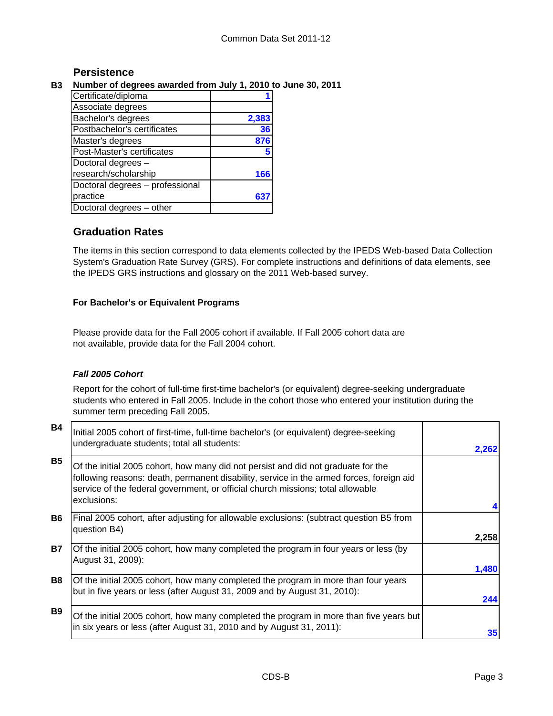### **Persistence**

### **B3 Number of degrees awarded from July 1, 2010 to June 30, 2011**

| Certificate/diploma             |       |
|---------------------------------|-------|
| Associate degrees               |       |
| Bachelor's degrees              | 2,383 |
| Postbachelor's certificates     | 36    |
| Master's degrees                | 876   |
| Post-Master's certificates      |       |
| Doctoral degrees -              |       |
| research/scholarship            | 166   |
| Doctoral degrees - professional |       |
| practice                        |       |
| Doctoral degrees - other        |       |

## **Graduation Rates**

The items in this section correspond to data elements collected by the IPEDS Web-based Data Collection System's Graduation Rate Survey (GRS). For complete instructions and definitions of data elements, see the IPEDS GRS instructions and glossary on the 2011 Web-based survey.

### **For Bachelor's or Equivalent Programs**

Please provide data for the Fall 2005 cohort if available. If Fall 2005 cohort data are not available, provide data for the Fall 2004 cohort.

### *Fall 2005 Cohort*

Report for the cohort of full-time first-time bachelor's (or equivalent) degree-seeking undergraduate students who entered in Fall 2005. Include in the cohort those who entered your institution during the summer term preceding Fall 2005.

| <b>B4</b>      | Initial 2005 cohort of first-time, full-time bachelor's (or equivalent) degree-seeking<br>undergraduate students; total all students:                                                                                                                                           | 2,262 |
|----------------|---------------------------------------------------------------------------------------------------------------------------------------------------------------------------------------------------------------------------------------------------------------------------------|-------|
| <b>B5</b>      | Of the initial 2005 cohort, how many did not persist and did not graduate for the<br>following reasons: death, permanent disability, service in the armed forces, foreign aid<br>service of the federal government, or official church missions; total allowable<br>exclusions: |       |
|                |                                                                                                                                                                                                                                                                                 |       |
| <b>B6</b>      | Final 2005 cohort, after adjusting for allowable exclusions: (subtract question B5 from<br>question B4)                                                                                                                                                                         |       |
|                |                                                                                                                                                                                                                                                                                 | 2,258 |
| <b>B7</b>      | Of the initial 2005 cohort, how many completed the program in four years or less (by<br>August 31, 2009):                                                                                                                                                                       |       |
|                |                                                                                                                                                                                                                                                                                 | 1,480 |
| B <sub>8</sub> | Of the initial 2005 cohort, how many completed the program in more than four years<br>but in five years or less (after August 31, 2009 and by August 31, 2010):                                                                                                                 | 244   |
| <b>B9</b>      | Of the initial 2005 cohort, how many completed the program in more than five years but<br>in six years or less (after August 31, 2010 and by August 31, 2011):                                                                                                                  |       |
|                |                                                                                                                                                                                                                                                                                 | 35    |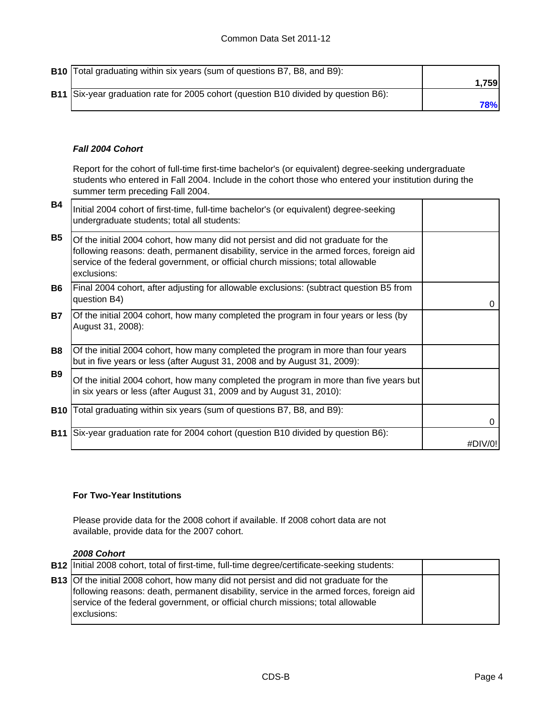| <b>B10</b> Total graduating within six years (sum of questions B7, B8, and B9):     |            |
|-------------------------------------------------------------------------------------|------------|
|                                                                                     | 1.7591     |
| B11 Six-year graduation rate for 2005 cohort (question B10 divided by question B6): |            |
|                                                                                     | <b>78%</b> |

### *Fall 2004 Cohort*

Report for the cohort of full-time first-time bachelor's (or equivalent) degree-seeking undergraduate students who entered in Fall 2004. Include in the cohort those who entered your institution during the summer term preceding Fall 2004.

| <b>B4</b>  | Initial 2004 cohort of first-time, full-time bachelor's (or equivalent) degree-seeking<br>undergraduate students; total all students:                                                                                                                                           |         |
|------------|---------------------------------------------------------------------------------------------------------------------------------------------------------------------------------------------------------------------------------------------------------------------------------|---------|
| <b>B5</b>  | Of the initial 2004 cohort, how many did not persist and did not graduate for the<br>following reasons: death, permanent disability, service in the armed forces, foreign aid<br>service of the federal government, or official church missions; total allowable<br>exclusions: |         |
| <b>B6</b>  | Final 2004 cohort, after adjusting for allowable exclusions: (subtract question B5 from<br>question B4)                                                                                                                                                                         | 0       |
| <b>B7</b>  | Of the initial 2004 cohort, how many completed the program in four years or less (by<br>August 31, 2008):                                                                                                                                                                       |         |
| B8         | Of the initial 2004 cohort, how many completed the program in more than four years<br>but in five years or less (after August 31, 2008 and by August 31, 2009):                                                                                                                 |         |
| <b>B</b> 9 | Of the initial 2004 cohort, how many completed the program in more than five years but<br>in six years or less (after August 31, 2009 and by August 31, 2010):                                                                                                                  |         |
| <b>B10</b> | Total graduating within six years (sum of questions B7, B8, and B9):                                                                                                                                                                                                            | 0       |
| <b>B11</b> | Six-year graduation rate for 2004 cohort (question B10 divided by question B6):                                                                                                                                                                                                 | #DIV/0! |

### **For Two-Year Institutions**

Please provide data for the 2008 cohort if available. If 2008 cohort data are not available, provide data for the 2007 cohort.

#### *2008 Cohort*

| <b>B12</b> Initial 2008 cohort, total of first-time, full-time degree/certificate-seeking students:                                                                                                                                                                                        |  |
|--------------------------------------------------------------------------------------------------------------------------------------------------------------------------------------------------------------------------------------------------------------------------------------------|--|
| <b>B13</b> Of the initial 2008 cohort, how many did not persist and did not graduate for the<br>following reasons: death, permanent disability, service in the armed forces, foreign aid<br>service of the federal government, or official church missions; total allowable<br>exclusions: |  |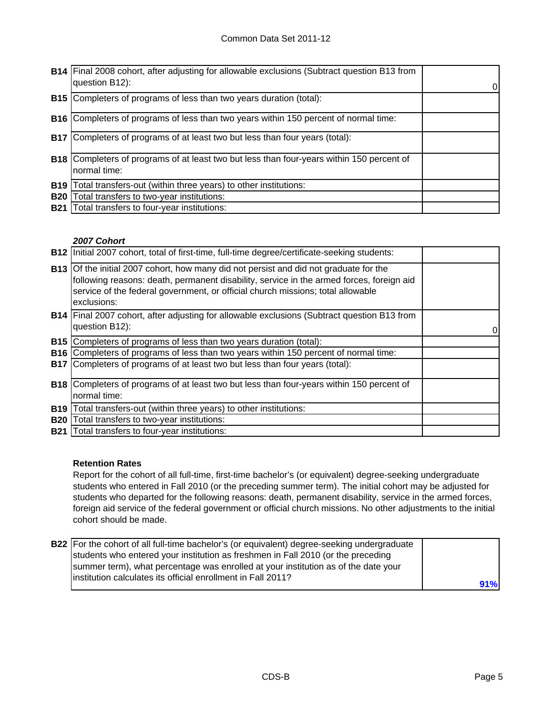|            | <b>B14</b> Final 2008 cohort, after adjusting for allowable exclusions (Subtract question B13 from<br>question B12): | 01 |
|------------|----------------------------------------------------------------------------------------------------------------------|----|
|            | <b>B15</b> Completers of programs of less than two years duration (total):                                           |    |
|            | <b>B16</b> Completers of programs of less than two years within 150 percent of normal time:                          |    |
|            | <b>B17</b> Completers of programs of at least two but less than four years (total):                                  |    |
|            | <b>B18</b> Completers of programs of at least two but less than four-years within 150 percent of<br>normal time:     |    |
| <b>B19</b> | Total transfers-out (within three years) to other institutions:                                                      |    |
| <b>B20</b> | Total transfers to two-year institutions:                                                                            |    |
| <b>B21</b> | Total transfers to four-year institutions:                                                                           |    |

### *2007 Cohort*

|            | B12   Initial 2007 cohort, total of first-time, full-time degree/certificate-seeking students:                                                                                                                                                                                             |   |
|------------|--------------------------------------------------------------------------------------------------------------------------------------------------------------------------------------------------------------------------------------------------------------------------------------------|---|
|            | <b>B13</b> Of the initial 2007 cohort, how many did not persist and did not graduate for the<br>following reasons: death, permanent disability, service in the armed forces, foreign aid<br>service of the federal government, or official church missions; total allowable<br>exclusions: |   |
|            | B14   Final 2007 cohort, after adjusting for allowable exclusions (Subtract question B13 from<br>question B12):                                                                                                                                                                            | 0 |
| <b>B15</b> | Completers of programs of less than two years duration (total):                                                                                                                                                                                                                            |   |
| <b>B16</b> | Completers of programs of less than two years within 150 percent of normal time:                                                                                                                                                                                                           |   |
|            | <b>B17</b> Completers of programs of at least two but less than four years (total):                                                                                                                                                                                                        |   |
|            | <b>B18</b> Completers of programs of at least two but less than four-years within 150 percent of<br>normal time:                                                                                                                                                                           |   |
| <b>B19</b> | Total transfers-out (within three years) to other institutions:                                                                                                                                                                                                                            |   |
| <b>B20</b> | Total transfers to two-year institutions:                                                                                                                                                                                                                                                  |   |
|            | <b>B21</b> Total transfers to four-year institutions:                                                                                                                                                                                                                                      |   |

### **Retention Rates**

Report for the cohort of all full-time, first-time bachelor's (or equivalent) degree-seeking undergraduate students who entered in Fall 2010 (or the preceding summer term). The initial cohort may be adjusted for students who departed for the following reasons: death, permanent disability, service in the armed forces, foreign aid service of the federal government or official church missions. No other adjustments to the initial cohort should be made.

| <b>B22</b> For the cohort of all full-time bachelor's (or equivalent) degree-seeking undergraduate |     |
|----------------------------------------------------------------------------------------------------|-----|
| students who entered your institution as freshmen in Fall 2010 (or the preceding                   |     |
| summer term), what percentage was enrolled at your institution as of the date your                 |     |
| linstitution calculates its official enrollment in Fall 2011?                                      | 91% |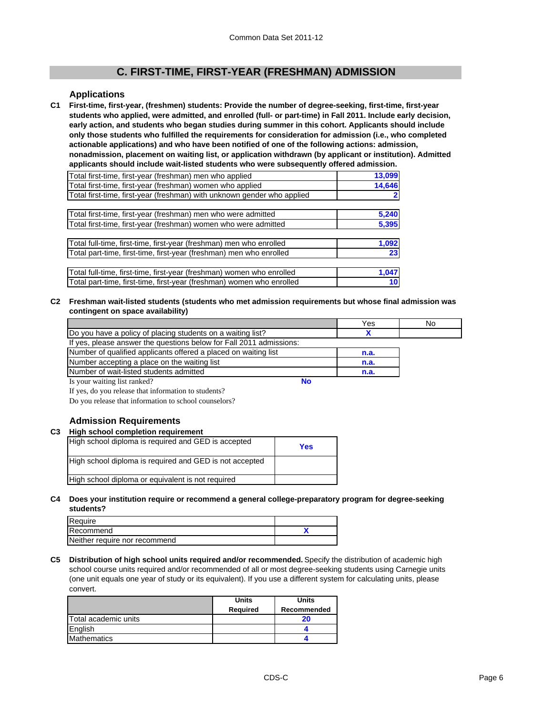### **C. FIRST-TIME, FIRST-YEAR (FRESHMAN) ADMISSION**

#### **Applications**

**C1 First-time, first-year, (freshmen) students: Provide the number of degree-seeking, first-time, first-year students who applied, were admitted, and enrolled (full- or part-time) in Fall 2011. Include early decision, early action, and students who began studies during summer in this cohort. Applicants should include only those students who fulfilled the requirements for consideration for admission (i.e., who completed actionable applications) and who have been notified of one of the following actions: admission, nonadmission, placement on waiting list, or application withdrawn (by applicant or institution). Admitted applicants should include wait-listed students who were subsequently offered admission.**

| Total first-time, first-year (freshman) men who applied                 | 13,099 |
|-------------------------------------------------------------------------|--------|
| Total first-time, first-year (freshman) women who applied               | 14,646 |
| Total first-time, first-year (freshman) with unknown gender who applied |        |
|                                                                         |        |
| Total first-time, first-year (freshman) men who were admitted           | 5,240  |
| Total first-time, first-year (freshman) women who were admitted         | 5,395  |
|                                                                         |        |
| Total full-time, first-time, first-year (freshman) men who enrolled     | 1,092  |
| Total part-time, first-time, first-year (freshman) men who enrolled     | 23     |
|                                                                         |        |
| Total full-time, first-time, first-year (freshman) women who enrolled   | 1,047  |
| Total part-time, first-time, first-year (freshman) women who enrolled   | 10     |

**C2 Freshman wait-listed students (students who met admission requirements but whose final admission was contingent on space availability)**

|                                                                     |    | Yes  | No |
|---------------------------------------------------------------------|----|------|----|
| Do you have a policy of placing students on a waiting list?         |    |      |    |
| If yes, please answer the questions below for Fall 2011 admissions: |    |      |    |
| Number of qualified applicants offered a placed on waiting list     |    | n.a. |    |
| Number accepting a place on the waiting list                        |    | n.a. |    |
| Number of wait-listed students admitted                             |    | n.a. |    |
| Is your waiting list ranked?                                        | No |      |    |

If yes, do you release that information to students?

Do you release that information to school counselors?

#### **Admission Requirements**

#### **C3 High school completion requirement**

| High school diploma is required and GED is accepted     | <b>Yes</b> |
|---------------------------------------------------------|------------|
| High school diploma is required and GED is not accepted |            |
| High school diploma or equivalent is not required       |            |

#### **C4 Does your institution require or recommend a general college-preparatory program for degree-seeking students?**

| Require                       |  |
|-------------------------------|--|
| Recommend                     |  |
| Neither require nor recommend |  |

**C5 Distribution of high school units required and/or recommended.** Specify the distribution of academic high school course units required and/or recommended of all or most degree-seeking students using Carnegie units (one unit equals one year of study or its equivalent). If you use a different system for calculating units, please convert.

|                      | <b>Units</b>    | <b>Units</b> |
|----------------------|-----------------|--------------|
|                      | <b>Required</b> | Recommended  |
| Total academic units |                 | 20           |
| English              |                 |              |
| Mathematics          |                 |              |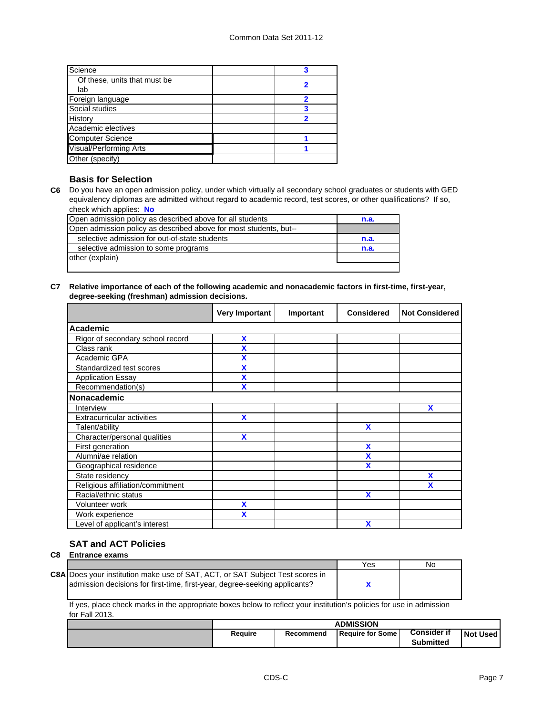| Science                       |  |
|-------------------------------|--|
| Of these, units that must be  |  |
| lab                           |  |
| Foreign language              |  |
| Social studies                |  |
| History                       |  |
| Academic electives            |  |
| <b>Computer Science</b>       |  |
| <b>Visual/Performing Arts</b> |  |
| Other (specify)               |  |

#### **Basis for Selection**

**C6** Do you have an open admission policy, under which virtually all secondary school graduates or students with GED equivalency diplomas are admitted without regard to academic record, test scores, or other qualifications? If so, check which applies: **No**

| Open admission policy as described above for all students         | n.a. |
|-------------------------------------------------------------------|------|
| Open admission policy as described above for most students, but-- |      |
| selective admission for out-of-state students                     | n.a. |
| selective admission to some programs                              | n.a. |
| other (explain)                                                   |      |
|                                                                   |      |

#### **C7 Relative importance of each of the following academic and nonacademic factors in first-time, first-year, degree-seeking (freshman) admission decisions.**

|                                   | <b>Very Important</b> | Important | <b>Considered</b> | <b>Not Considered</b> |
|-----------------------------------|-----------------------|-----------|-------------------|-----------------------|
| Academic                          |                       |           |                   |                       |
| Rigor of secondary school record  | X                     |           |                   |                       |
| Class rank                        | χ                     |           |                   |                       |
| Academic GPA                      | X                     |           |                   |                       |
| Standardized test scores          | X                     |           |                   |                       |
| <b>Application Essay</b>          | X                     |           |                   |                       |
| Recommendation(s)                 |                       |           |                   |                       |
| Nonacademic                       |                       |           |                   |                       |
| Interview                         |                       |           |                   | X                     |
| <b>Extracurricular activities</b> | X                     |           |                   |                       |
| Talent/ability                    |                       |           | X                 |                       |
| Character/personal qualities      | $\mathbf x$           |           |                   |                       |
| First generation                  |                       |           | X                 |                       |
| Alumni/ae relation                |                       |           | χ                 |                       |
| Geographical residence            |                       |           | χ                 |                       |
| State residency                   |                       |           |                   | X                     |
| Religious affiliation/commitment  |                       |           |                   | X                     |
| Racial/ethnic status              |                       |           | X                 |                       |
| Volunteer work                    | X                     |           |                   |                       |
| Work experience                   | X                     |           |                   |                       |
| Level of applicant's interest     |                       |           | X                 |                       |

## **SAT and ACT Policies**

#### **C8 Entrance exams**

|                                                                                                                                                                    | Yes | N٥ |
|--------------------------------------------------------------------------------------------------------------------------------------------------------------------|-----|----|
| <b>C8A Does your institution make use of SAT, ACT, or SAT Subject Test scores in</b><br>admission decisions for first-time, first-year, degree-seeking applicants? |     |    |

If yes, place check marks in the appropriate boxes below to reflect your institution's policies for use in admission for Fall 2013.

| <b>Consider if</b><br>Require for Some<br>Require<br>Recommend<br>Submitted | <b>ADMISSION</b> |  |  |  |          |
|-----------------------------------------------------------------------------|------------------|--|--|--|----------|
|                                                                             |                  |  |  |  | Not Used |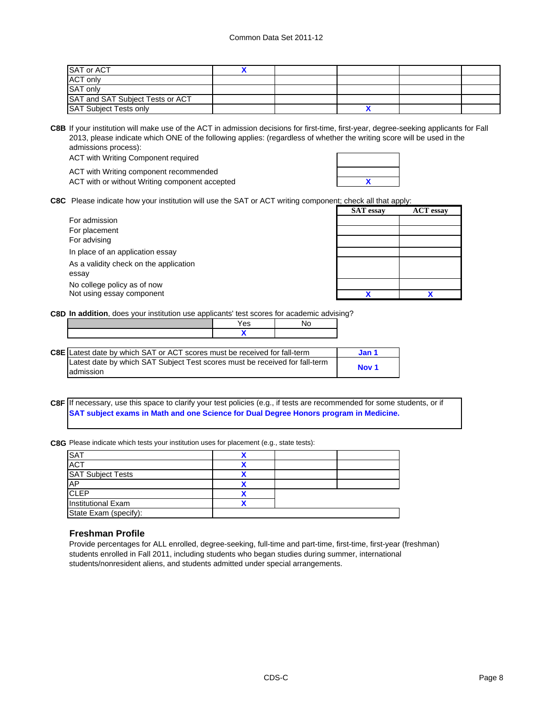| <b>SAT or ACT</b>                |  |  |  |
|----------------------------------|--|--|--|
| <b>ACT only</b>                  |  |  |  |
| SAT only                         |  |  |  |
| SAT and SAT Subject Tests or ACT |  |  |  |
| <b>SAT Subject Tests only</b>    |  |  |  |

**C8B** If your institution will make use of the ACT in admission decisions for first-time, first-year, degree-seeking applicants for Fall 2013, please indicate which ONE of the following applies: (regardless of whether the writing score will be used in the admissions process):

ACT with Writing Component required

|  |  | ACT with Writing component recommended         |  |
|--|--|------------------------------------------------|--|
|  |  | ACT with or without Writing component accepted |  |

**C8C** Please indicate how your institution will use the SAT or ACT writing component; check all that apply:

|                                        | <b>SAT</b> essay | <b>ACT</b> essay |
|----------------------------------------|------------------|------------------|
| For admission                          |                  |                  |
| For placement                          |                  |                  |
| For advising                           |                  |                  |
| In place of an application essay       |                  |                  |
| As a validity check on the application |                  |                  |
| essay                                  |                  |                  |
| No college policy as of now            |                  |                  |
| Not using essay component              |                  |                  |
|                                        |                  |                  |

**C8D In addition**, does your institution use applicants' test scores for academic advising?

| 'es |  |
|-----|--|
|     |  |
|     |  |

| <b>C8E</b> Latest date by which SAT or ACT scores must be received for fall-term | Jan 1            |  |
|----------------------------------------------------------------------------------|------------------|--|
| Latest date by which SAT Subject Test scores must be received for fall-term      | Nov <sub>1</sub> |  |
| ladmission                                                                       |                  |  |

#### **C8F** If necessary, use this space to clarify your test policies (e.g., if tests are recommended for some students, or if **SAT subject exams in Math and one Science for Dual Degree Honors program in Medicine.**

**C8G** Please indicate which tests your institution uses for placement (e.g., state tests):

| <b>SAT</b>                |  |  |
|---------------------------|--|--|
| <b>ACT</b>                |  |  |
| <b>SAT Subject Tests</b>  |  |  |
| <b>AP</b>                 |  |  |
| <b>CLEP</b>               |  |  |
| <b>Institutional Exam</b> |  |  |
| State Exam (specify):     |  |  |

#### **Freshman Profile**

Provide percentages for ALL enrolled, degree-seeking, full-time and part-time, first-time, first-year (freshman) students enrolled in Fall 2011, including students who began studies during summer, international students/nonresident aliens, and students admitted under special arrangements.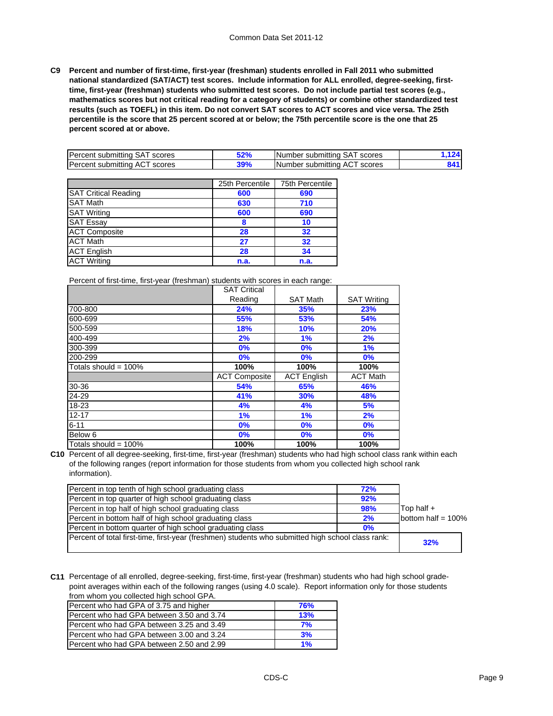**C9 Percent and number of first-time, first-year (freshman) students enrolled in Fall 2011 who submitted national standardized (SAT/ACT) test scores. Include information for ALL enrolled, degree-seeking, firsttime, first-year (freshman) students who submitted test scores. Do not include partial test scores (e.g., mathematics scores but not critical reading for a category of students) or combine other standardized test results (such as TOEFL) in this item. Do not convert SAT scores to ACT scores and vice versa. The 25th percentile is the score that 25 percent scored at or below; the 75th percentile score is the one that 25 percent scored at or above.**

| Percent<br>scores<br>submitting<br>SΑ   | con/<br>JZ 70 | ∵submittina SA<br>scores<br><b>INumber</b>      | . |
|-----------------------------------------|---------------|-------------------------------------------------|---|
| Percent<br>scores<br>submitting<br>' AL | 79 70         | <b>INumber</b><br>scores<br>∵submittina<br>` AL |   |

|                             | 25th Percentile | 75th Percentile |
|-----------------------------|-----------------|-----------------|
| <b>SAT Critical Reading</b> | 600             | 690             |
| <b>SAT Math</b>             | 630             | 710             |
| <b>SAT Writing</b>          | 600             | 690             |
| <b>SAT Essay</b>            | 8               | 10              |
| <b>ACT Composite</b>        | 28              | 32              |
| <b>ACT Math</b>             | 27              | 32              |
| <b>ACT</b> English          | 28              | 34              |
| <b>ACT Writing</b>          | n.a.            | n.a.            |

Percent of first-time, first-year (freshman) students with scores in each range:

|                         | <b>SAT Critical</b>  |                    |                    |
|-------------------------|----------------------|--------------------|--------------------|
|                         | Reading              | <b>SAT Math</b>    | <b>SAT Writing</b> |
| 700-800                 | 24%                  | 35%                | 23%                |
| 600-699                 | 55%                  | 53%                | 54%                |
| 500-599                 | <b>18%</b>           | <b>10%</b>         | <b>20%</b>         |
| 400-499                 | 2%                   | 1%                 | 2%                 |
| 300-399                 | 0%                   | 0%                 | 1%                 |
| 200-299                 | 0%                   | 0%                 | 0%                 |
| Totals should = $100\%$ | 100%                 | 100%               | 100%               |
|                         | <b>ACT Composite</b> | <b>ACT</b> English | <b>ACT Math</b>    |
| 30-36                   | 54%                  | 65%                | 46%                |
| 24-29                   | 41%                  | 30%                | 48%                |
| 18-23                   | 4%                   | 4%                 | 5%                 |
| $12 - 17$               | 1%                   | 1%                 | 2%                 |
| $6 - 11$                | 0%                   | 0%                 | 0%                 |
| Below 6                 | 0%                   | 0%                 | 0%                 |
| Totals should = $100\%$ | 100%                 | 100%               | 100%               |

**C10** Percent of all degree-seeking, first-time, first-year (freshman) students who had high school class rank within each of the following ranges (report information for those students from whom you collected high school rank information).

| Percent in top tenth of high school graduating class                                              | 72% |                       |  |
|---------------------------------------------------------------------------------------------------|-----|-----------------------|--|
| Percent in top quarter of high school graduating class                                            | 92% |                       |  |
| Percent in top half of high school graduating class                                               | 98% | $\mathsf{Top}$ half + |  |
| Percent in bottom half of high school graduating class                                            | 2%  | bottom half = $100\%$ |  |
| Percent in bottom quarter of high school graduating class                                         | 0%  |                       |  |
| Percent of total first-time, first-year (freshmen) students who submitted high school class rank: |     | 32%                   |  |

**C11** Percentage of all enrolled, degree-seeking, first-time, first-year (freshman) students who had high school gradepoint averages within each of the following ranges (using 4.0 scale). Report information only for those students from whom you collected high school GPA.

| nonn mioni you conceted ingh concer or fur |     |
|--------------------------------------------|-----|
| Percent who had GPA of 3.75 and higher     | 76% |
| Percent who had GPA between 3.50 and 3.74  | 13% |
| Percent who had GPA between 3.25 and 3.49  | 7%  |
| Percent who had GPA between 3.00 and 3.24  | 3%  |
| Percent who had GPA between 2.50 and 2.99  | 1%  |
|                                            |     |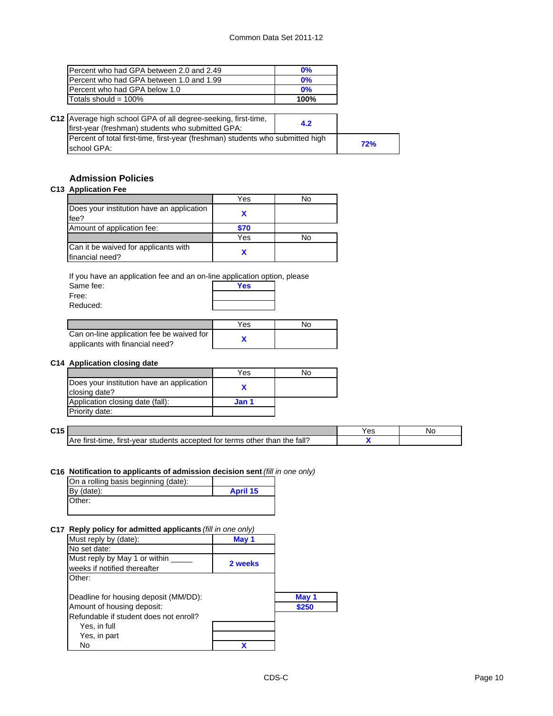| Percent who had GPA between 2.0 and 2.49  | $0\%$ |
|-------------------------------------------|-------|
| IPercent who had GPA between 1.0 and 1.99 | $0\%$ |
| Percent who had GPA below 1.0             | 0%    |
| Totals should = $100\%$                   | 100%  |

| C12 Average high school GPA of all degree-seeking, first-time,<br>first-year (freshman) students who submitted GPA: | 4.2 |     |
|---------------------------------------------------------------------------------------------------------------------|-----|-----|
| Percent of total first-time, first-year (freshman) students who submitted high<br>school GPA:                       |     | 72% |

### **Admission Policies**

**C13 Application Fee**

|                                                         | Yes  | No |
|---------------------------------------------------------|------|----|
| Does your institution have an application<br>fee?       |      |    |
| Amount of application fee:                              | \$70 |    |
|                                                         | Yes  | No |
| Can it be waived for applicants with<br>financial need? |      |    |

If you have an application fee and an on-line application option, please

| Same fee: | <b>Yes</b> |  |
|-----------|------------|--|
| Free:     |            |  |
| Reduced:  |            |  |
|           |            |  |

|                                                                              | Yes | N٥ |
|------------------------------------------------------------------------------|-----|----|
| Can on-line application fee be waived for<br>applicants with financial need? |     |    |

#### **C14 Application closing date**

|                                           | Yes   | No |
|-------------------------------------------|-------|----|
| Does your institution have an application |       |    |
| closing date?                             |       |    |
| Application closing date (fall):          | Jan 1 |    |
| Priority date:                            |       |    |

| C15 |                                                                                                             | تت | Νc |
|-----|-------------------------------------------------------------------------------------------------------------|----|----|
|     | fall?<br>Are<br>accepted<br>the<br>than<br>l for terms other ∶<br>tır<br>first-vear<br>st-tıme.<br>students |    |    |
|     |                                                                                                             |    |    |

#### **C16 Notification to applicants of admission decision sent** *(fill in one only)*

| On a rolling basis beginning (date): |                 |
|--------------------------------------|-----------------|
| $By$ (date):                         | <b>April 15</b> |
| Other:                               |                 |

#### **C17 Reply policy for admitted applicants** *(fill in one only)*

| .                                                             |         |       |
|---------------------------------------------------------------|---------|-------|
| Must reply by (date):                                         | May 1   |       |
| No set date:                                                  |         |       |
| Must reply by May 1 or within<br>weeks if notified thereafter | 2 weeks |       |
| Other:                                                        |         |       |
| Deadline for housing deposit (MM/DD):                         |         | May 1 |
| Amount of housing deposit:                                    |         | \$250 |
| Refundable if student does not enroll?                        |         |       |
| Yes, in full                                                  |         |       |
| Yes, in part                                                  |         |       |
| No                                                            |         |       |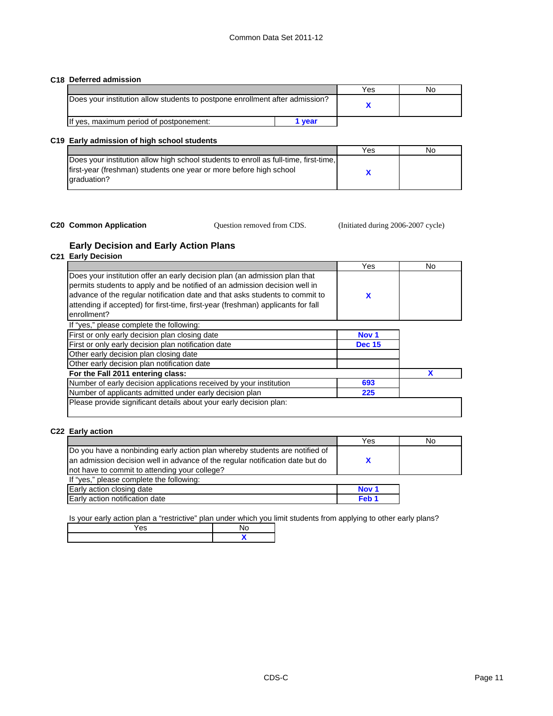#### **C18 Deferred admission**

|                                                                              |      | Yes | NΟ |
|------------------------------------------------------------------------------|------|-----|----|
| Does your institution allow students to postpone enrollment after admission? |      |     |    |
| If yes, maximum period of postponement:                                      | vear |     |    |

#### **C19 Early admission of high school students**

|                                                                                      | Yes | Nο |
|--------------------------------------------------------------------------------------|-----|----|
| Does your institution allow high school students to enroll as full-time, first-time, |     |    |
| first-year (freshman) students one year or more before high school                   |     |    |
| graduation?                                                                          |     |    |
|                                                                                      |     |    |

#### **C20 Common Application** (Initiated during 2006-2007 cycle)

Question removed from CDS.

#### **Early Decision and Early Action Plans**

#### **C21 Early Decision**

|                                                                                                                                                                                                                                                                                                                                             | Yes              | No |
|---------------------------------------------------------------------------------------------------------------------------------------------------------------------------------------------------------------------------------------------------------------------------------------------------------------------------------------------|------------------|----|
| Does your institution offer an early decision plan (an admission plan that<br>permits students to apply and be notified of an admission decision well in<br>advance of the regular notification date and that asks students to commit to<br>attending if accepted) for first-time, first-year (freshman) applicants for fall<br>enrollment? | x                |    |
| If "yes," please complete the following:                                                                                                                                                                                                                                                                                                    |                  |    |
| First or only early decision plan closing date                                                                                                                                                                                                                                                                                              | Nov <sub>1</sub> |    |
| First or only early decision plan notification date                                                                                                                                                                                                                                                                                         | <b>Dec 15</b>    |    |
| Other early decision plan closing date                                                                                                                                                                                                                                                                                                      |                  |    |
| Other early decision plan notification date                                                                                                                                                                                                                                                                                                 |                  |    |
| For the Fall 2011 entering class:                                                                                                                                                                                                                                                                                                           |                  |    |
| Number of early decision applications received by your institution                                                                                                                                                                                                                                                                          | 693              |    |
| Number of applicants admitted under early decision plan                                                                                                                                                                                                                                                                                     | 225              |    |
| Please provide significant details about your early decision plan:                                                                                                                                                                                                                                                                          |                  |    |

#### **C22 Early action**

|                                                                               | Yes              | No |
|-------------------------------------------------------------------------------|------------------|----|
| Do you have a nonbinding early action plan whereby students are notified of   |                  |    |
| an admission decision well in advance of the regular notification date but do |                  |    |
| not have to commit to attending your college?                                 |                  |    |
| If "yes," please complete the following:                                      |                  |    |
| Early action closing date                                                     | Nov <sub>1</sub> |    |
| Early action notification date                                                | Feb <sub>1</sub> |    |
|                                                                               |                  |    |

Is your early action plan a "restrictive" plan under which you limit students from applying to other early plans?

| es |  |
|----|--|
|    |  |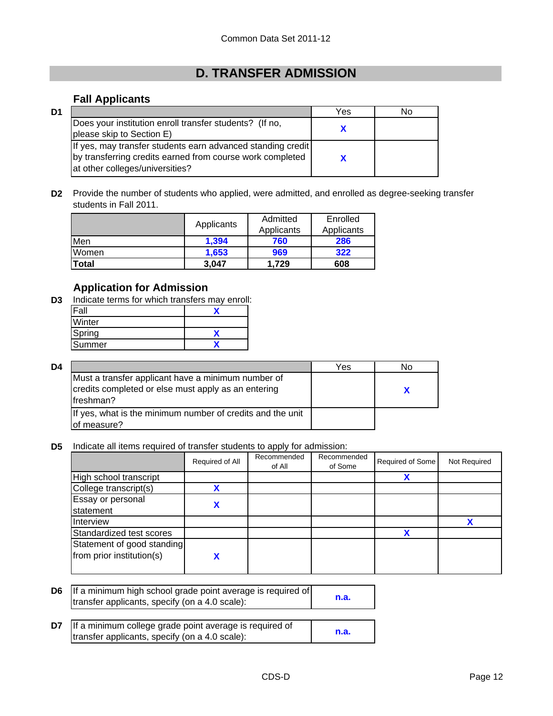# **D. TRANSFER ADMISSION**

## **Fall Applicants**

| D1 |                                                                                                                                                             | Yes | N٥ |
|----|-------------------------------------------------------------------------------------------------------------------------------------------------------------|-----|----|
|    | Does your institution enroll transfer students? (If no,<br>please skip to Section E)                                                                        |     |    |
|    | If yes, may transfer students earn advanced standing credit<br>by transferring credits earned from course work completed<br>at other colleges/universities? |     |    |

**D2** Provide the number of students who applied, were admitted, and enrolled as degree-seeking transfer students in Fall 2011.

|       | Applicants | Admitted   | Enrolled   |
|-------|------------|------------|------------|
|       |            | Applicants | Applicants |
| Men   | 1,394      | 760        | 286        |
| Women | 1.653      | 969        | 322        |
| Total | 3.047      | 1.729      | 608        |

## **Application for Admission**

**D3** Indicate terms for which transfers may enroll:

| Winter |  |
|--------|--|
| Spring |  |
| Summer |  |

| D4 |                                                                                                                         | Yes | N٥ |
|----|-------------------------------------------------------------------------------------------------------------------------|-----|----|
|    | Must a transfer applicant have a minimum number of<br>credits completed or else must apply as an entering<br>Ifreshman? |     |    |
|    | If yes, what is the minimum number of credits and the unit<br>of measure?                                               |     |    |

**D5** Indicate all items required of transfer students to apply for admission:

|                                                         | Required of All | Recommended<br>of All | Recommended<br>of Some | Required of Some | Not Required |
|---------------------------------------------------------|-----------------|-----------------------|------------------------|------------------|--------------|
| High school transcript                                  |                 |                       |                        | X                |              |
| College transcript(s)                                   | v               |                       |                        |                  |              |
| Essay or personal<br>statement                          |                 |                       |                        |                  |              |
| Interview                                               |                 |                       |                        |                  |              |
| Standardized test scores                                |                 |                       |                        | x                |              |
| Statement of good standing<br>from prior institution(s) | v               |                       |                        |                  |              |

- **D6 n.a.** If a minimum high school grade point average is required of transfer applicants, specify (on a 4.0 scale):
- **D7 n.a.** If a minimum college grade point average is required of transfer applicants, specify (on a 4.0 scale):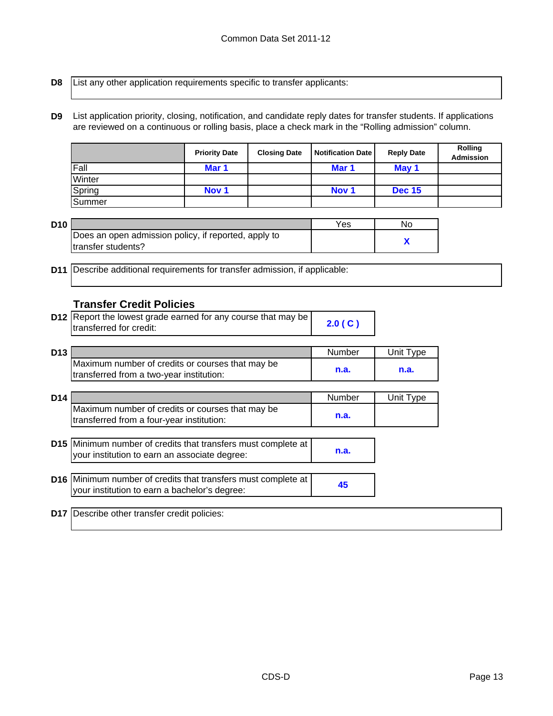**D8**

List any other application requirements specific to transfer applicants:

**D9** List application priority, closing, notification, and candidate reply dates for transfer students. If applications are reviewed on a continuous or rolling basis, place a check mark in the "Rolling admission" column.

|        | <b>Priority Date</b> | <b>Closing Date</b> | <b>Notification Date</b> | <b>Reply Date</b> | <b>Rolling</b><br><b>Admission</b> |
|--------|----------------------|---------------------|--------------------------|-------------------|------------------------------------|
| Fall   | Mar 1                |                     | Mar 1                    | May 1             |                                    |
| Winter |                      |                     |                          |                   |                                    |
| Spring | Nov <sub>1</sub>     |                     | Nov <sub>1</sub>         | <b>Dec 15</b>     |                                    |
| Summer |                      |                     |                          |                   |                                    |

| D10 |                                                      | Yes | No |
|-----|------------------------------------------------------|-----|----|
|     | Does an open admission policy, if reported, apply to |     |    |
|     | Itransfer students?                                  |     |    |

**D11** Describe additional requirements for transfer admission, if applicable:

### **Transfer Credit Policies**

| <b>D12</b> Report the lowest grade earned for any course that may be |        |
|----------------------------------------------------------------------|--------|
| transferred for credit:                                              | 2.0(C) |

| D <sub>13</sub> |                                                  | Number | Unit Tvpe |
|-----------------|--------------------------------------------------|--------|-----------|
|                 | Maximum number of credits or courses that may be |        |           |
|                 | transferred from a two-year institution:         | n.a.   | n.a.      |

| D14 |                                                                                               | Number | Unit Type |
|-----|-----------------------------------------------------------------------------------------------|--------|-----------|
|     | Maximum number of credits or courses that may be<br>transferred from a four-year institution: | n.a.   |           |

| <b>D15</b> Minimum number of credits that transfers must complete at |      |
|----------------------------------------------------------------------|------|
| your institution to earn an associate degree:                        | n.a. |

| D16 Minimum number of credits that transfers must complete at |    |
|---------------------------------------------------------------|----|
| your institution to earn a bachelor's degree:                 | 45 |

**D17** Describe other transfer credit policies: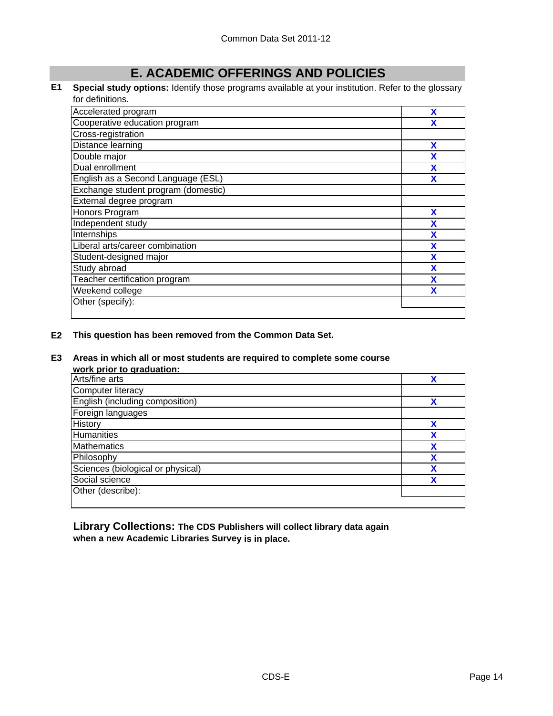# **E. ACADEMIC OFFERINGS AND POLICIES**

**E1 Special study options:** Identify those programs available at your institution. Refer to the glossary for definitions.

| Accelerated program                 | X |
|-------------------------------------|---|
| Cooperative education program       | χ |
| Cross-registration                  |   |
| Distance learning                   | X |
| Double major                        | χ |
| Dual enrollment                     | x |
| English as a Second Language (ESL)  | X |
| Exchange student program (domestic) |   |
| External degree program             |   |
| Honors Program                      | X |
| Independent study                   | X |
| Internships                         | X |
| Liberal arts/career combination     | X |
| Student-designed major              | X |
| Study abroad                        | χ |
| Teacher certification program       | χ |
| Weekend college                     | x |
| Other (specify):                    |   |
|                                     |   |

**E2 This question has been removed from the Common Data Set.**

#### **E3 Areas in which all or most students are required to complete some course**

| work prior to graduation:         |   |
|-----------------------------------|---|
| Arts/fine arts                    | v |
| Computer literacy                 |   |
| English (including composition)   | v |
| Foreign languages                 |   |
| History                           | χ |
| <b>Humanities</b>                 | χ |
| <b>Mathematics</b>                | χ |
| Philosophy                        | χ |
| Sciences (biological or physical) | v |
| Social science                    | v |
| Other (describe):                 |   |
|                                   |   |

**Library Collections: The CDS Publishers will collect library data again when a new Academic Libraries Survey is in place.**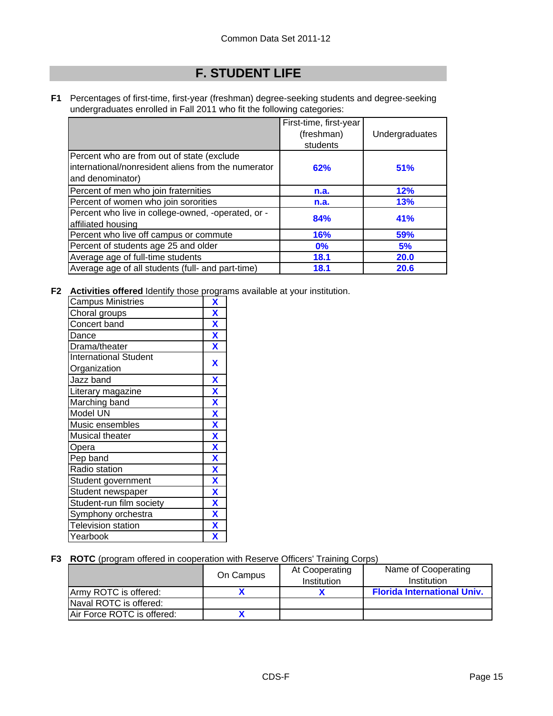# **F. STUDENT LIFE**

**F1** Percentages of first-time, first-year (freshman) degree-seeking students and degree-seeking undergraduates enrolled in Fall 2011 who fit the following categories:

|                                                                                                                       | First-time, first-year<br>(freshman)<br>students | Undergraduates |
|-----------------------------------------------------------------------------------------------------------------------|--------------------------------------------------|----------------|
| Percent who are from out of state (exclude<br>international/nonresident aliens from the numerator<br>and denominator) | 62%                                              | 51%            |
| Percent of men who join fraternities                                                                                  | n.a.                                             | 12%            |
| Percent of women who join sororities                                                                                  | n.a.                                             | 13%            |
| Percent who live in college-owned, -operated, or -<br>affiliated housing                                              | 84%                                              | 41%            |
| Percent who live off campus or commute                                                                                | <b>16%</b>                                       | 59%            |
| Percent of students age 25 and older                                                                                  | $0\%$                                            | 5%             |
| Average age of full-time students                                                                                     | 18.1                                             | 20.0           |
| Average age of all students (full- and part-time)                                                                     | 18.1                                             | 20.6           |

**F2 Activities offered** Identify those programs available at your institution.

| <b>Campus Ministries</b>     | X                       |
|------------------------------|-------------------------|
| Choral groups                | X                       |
| Concert band                 | X                       |
| Dance                        | X                       |
| Drama/theater                | X                       |
| <b>International Student</b> | X                       |
| Organization                 |                         |
| Jazz band                    | $\overline{\mathbf{X}}$ |
| Literary magazine            | $\overline{\mathbf{X}}$ |
| Marching band                | $\overline{\mathbf{X}}$ |
| Model UN                     | $\overline{\textbf{X}}$ |
| Music ensembles              | $\overline{\textbf{X}}$ |
| Musical theater              | $\overline{\mathbf{X}}$ |
| Opera                        | X                       |
| Pep band                     | $\overline{\mathbf{X}}$ |
| Radio station                | X                       |
| Student government           | X                       |
| Student newspaper            | X                       |
| Student-run film society     | $\overline{\mathbf{X}}$ |
| Symphony orchestra           | X                       |
| <b>Television station</b>    | X                       |
| Yearbook                     | X                       |

**F3 ROTC** (program offered in cooperation with Reserve Officers' Training Corps)

|                            | On Campus | At Cooperating<br>Institution | Name of Cooperating<br>Institution |
|----------------------------|-----------|-------------------------------|------------------------------------|
| Armv ROTC is offered:      |           |                               | <b>Florida International Univ.</b> |
| Naval ROTC is offered:     |           |                               |                                    |
| Air Force ROTC is offered: |           |                               |                                    |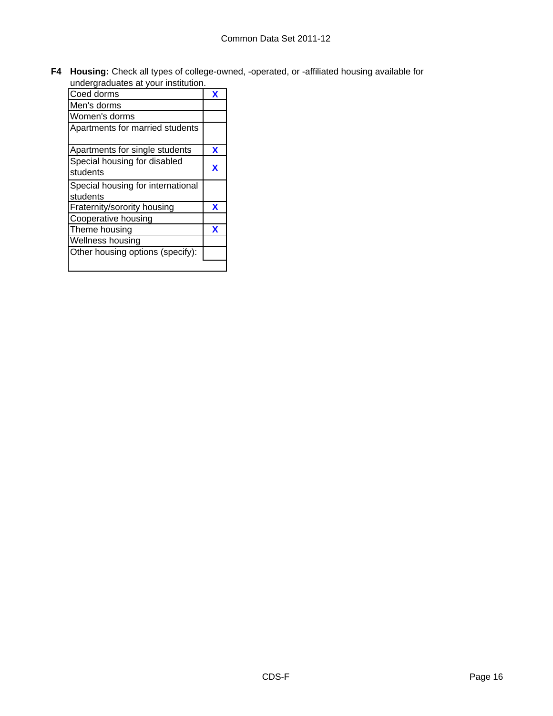**F4 Housing:** Check all types of college-owned, -operated, or -affiliated housing available for undergraduates at your institution.

| unuergraduates at your mistitution.           |   |
|-----------------------------------------------|---|
| Coed dorms                                    | x |
| Men's dorms                                   |   |
| Women's dorms                                 |   |
| Apartments for married students               |   |
| Apartments for single students                | X |
| Special housing for disabled<br>students      | x |
| Special housing for international<br>students |   |
| Fraternity/sorority housing                   | x |
| Cooperative housing                           |   |
| Theme housing                                 | x |
| Wellness housing                              |   |
| Other housing options (specify):              |   |
|                                               |   |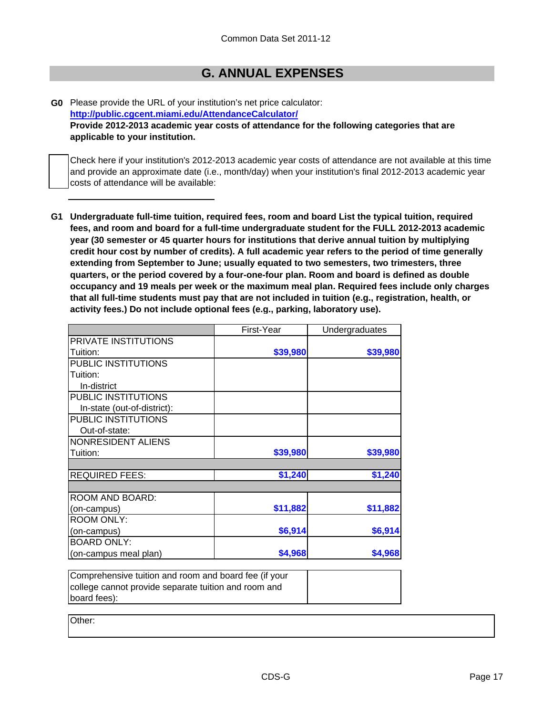## **G. ANNUAL EXPENSES**

**G0** Please provide the URL of your institution's net price calculator: **Provide 2012-2013 academic year costs of attendance for the following categories that are applicable to your institution. http://public.cgcent.miami.edu/AttendanceCalculator/**

Check here if your institution's 2012-2013 academic year costs of attendance are not available at this time and provide an approximate date (i.e., month/day) when your institution's final 2012-2013 academic year costs of attendance will be available:

**G1 Undergraduate full-time tuition, required fees, room and board List the typical tuition, required fees, and room and board for a full-time undergraduate student for the FULL 2012-2013 academic year (30 semester or 45 quarter hours for institutions that derive annual tuition by multiplying credit hour cost by number of credits). A full academic year refers to the period of time generally extending from September to June; usually equated to two semesters, two trimesters, three quarters, or the period covered by a four-one-four plan. Room and board is defined as double occupancy and 19 meals per week or the maximum meal plan. Required fees include only charges that all full-time students must pay that are not included in tuition (e.g., registration, health, or activity fees.) Do not include optional fees (e.g., parking, laboratory use).**

| First-Year                                               |          | Undergraduates |
|----------------------------------------------------------|----------|----------------|
|                                                          |          |                |
|                                                          | \$39,980 | \$39,980       |
|                                                          |          |                |
|                                                          |          |                |
|                                                          |          |                |
|                                                          |          |                |
|                                                          |          |                |
|                                                          |          |                |
|                                                          |          |                |
|                                                          |          |                |
|                                                          | \$39,980 | \$39,980       |
|                                                          | \$1,240  | \$1,240        |
|                                                          |          |                |
|                                                          |          |                |
|                                                          | \$11,882 | \$11,882       |
|                                                          |          |                |
|                                                          | \$6,914  | \$6,914        |
|                                                          |          |                |
|                                                          | \$4,968  | \$4,968        |
| $C$ omprehensive tuition and room and hoard fee (if your |          |                |

| Comprehensive tuition and room and board fee (if your |  |
|-------------------------------------------------------|--|
| college cannot provide separate tuition and room and  |  |
| board fees):                                          |  |

Other: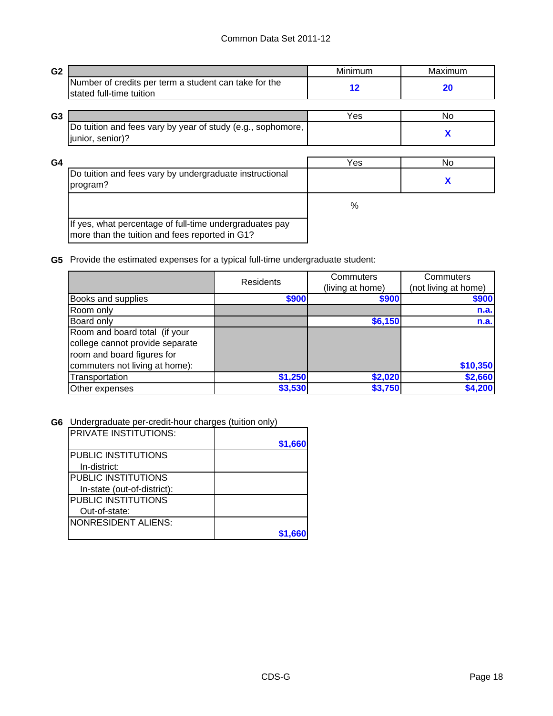| G <sub>2</sub> |                                                                                                           | Minimum           | Maximum |
|----------------|-----------------------------------------------------------------------------------------------------------|-------------------|---------|
|                | Number of credits per term a student can take for the<br>stated full-time tuition                         | $12 \ \mathsf{ }$ | 20      |
| G <sub>3</sub> |                                                                                                           | Yes               | No.     |
|                | Do tuition and fees vary by year of study (e.g., sophomore,<br>junior, senior)?                           |                   | X       |
| G <sub>4</sub> |                                                                                                           | Yes               | No      |
|                | Do tuition and fees vary by undergraduate instructional<br>program?                                       |                   | X       |
|                |                                                                                                           | $\%$              |         |
|                | If yes, what percentage of full-time undergraduates pay<br>more than the tuition and fees reported in G1? |                   |         |

**G5** Provide the estimated expenses for a typical full-time undergraduate student:

|                                 | <b>Residents</b> | Commuters        | Commuters            |
|---------------------------------|------------------|------------------|----------------------|
|                                 |                  | (living at home) | (not living at home) |
| Books and supplies              | \$900            | \$900            | \$900                |
| Room only                       |                  |                  | n.a.                 |
| Board only                      |                  | \$6,150          | n.a.                 |
| Room and board total (if your   |                  |                  |                      |
| college cannot provide separate |                  |                  |                      |
| room and board figures for      |                  |                  |                      |
| commuters not living at home):  |                  |                  | \$10,350             |
| Transportation                  | \$1,250          | \$2,020          | \$2,660              |
| Other expenses                  | \$3,530          | \$3,750          | \$4,200              |

**G6** Undergraduate per-credit-hour charges (tuition only)

| IPRIVATE INSTITUTIONS:      |         |
|-----------------------------|---------|
|                             | \$1,660 |
| <b>PUBLIC INSTITUTIONS</b>  |         |
| In-district:                |         |
| <b>PUBLIC INSTITUTIONS</b>  |         |
| In-state (out-of-district): |         |
| <b>PUBLIC INSTITUTIONS</b>  |         |
| Out-of-state:               |         |
| NONRESIDENT ALIENS:         |         |
|                             |         |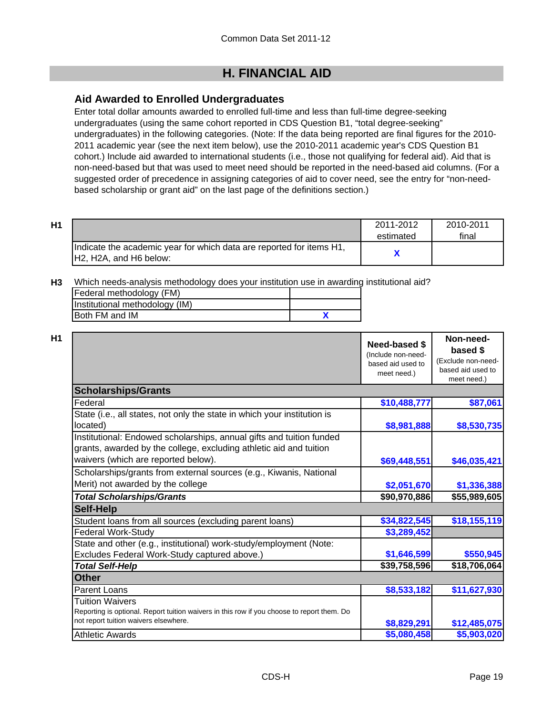# **H. FINANCIAL AID**

## **Aid Awarded to Enrolled Undergraduates**

Enter total dollar amounts awarded to enrolled full-time and less than full-time degree-seeking undergraduates (using the same cohort reported in CDS Question B1, "total degree-seeking" undergraduates) in the following categories. (Note: If the data being reported are final figures for the 2010- 2011 academic year (see the next item below), use the 2010-2011 academic year's CDS Question B1 cohort.) Include aid awarded to international students (i.e., those not qualifying for federal aid). Aid that is non-need-based but that was used to meet need should be reported in the need-based aid columns. (For a suggested order of precedence in assigning categories of aid to cover need, see the entry for "non-needbased scholarship or grant aid" on the last page of the definitions section.)

| H1 |                                                                                                | 2011-2012<br>estimated | 2010-2011<br>final |
|----|------------------------------------------------------------------------------------------------|------------------------|--------------------|
|    | Indicate the academic year for which data are reported for items H1,<br>H2, H2A, and H6 below: |                        |                    |

**H3** Which needs-analysis methodology does your institution use in awarding institutional aid?

| Federal methodology (FM)       |  |
|--------------------------------|--|
| Institutional methodology (IM) |  |
| <b>Both FM and IM</b>          |  |

| _<br>٠ |
|--------|
|        |

|                                                                                                                                                                                   | Need-based \$<br>(Include non-need-<br>based aid used to<br>meet need.) | Non-need-<br>based \$<br>(Exclude non-need-<br>based aid used to<br>meet need.) |
|-----------------------------------------------------------------------------------------------------------------------------------------------------------------------------------|-------------------------------------------------------------------------|---------------------------------------------------------------------------------|
| <b>Scholarships/Grants</b>                                                                                                                                                        |                                                                         |                                                                                 |
| Federal                                                                                                                                                                           | \$10,488,777                                                            | \$87,061                                                                        |
| State (i.e., all states, not only the state in which your institution is<br>located)                                                                                              | \$8,981,888                                                             | \$8,530,735                                                                     |
| Institutional: Endowed scholarships, annual gifts and tuition funded<br>grants, awarded by the college, excluding athletic aid and tuition<br>waivers (which are reported below). | \$69,448,551                                                            | \$46,035,421                                                                    |
| Scholarships/grants from external sources (e.g., Kiwanis, National<br>Merit) not awarded by the college                                                                           | \$2,051,670                                                             | \$1,336,388                                                                     |
| <b>Total Scholarships/Grants</b>                                                                                                                                                  | \$90,970,886                                                            | \$55,989,605                                                                    |
| <b>Self-Help</b>                                                                                                                                                                  |                                                                         |                                                                                 |
| Student loans from all sources (excluding parent loans)                                                                                                                           | \$34,822,545                                                            | \$18,155,119                                                                    |
| <b>Federal Work-Study</b>                                                                                                                                                         | \$3,289,452                                                             |                                                                                 |
| State and other (e.g., institutional) work-study/employment (Note:                                                                                                                |                                                                         |                                                                                 |
| Excludes Federal Work-Study captured above.)                                                                                                                                      | \$1,646,599                                                             | \$550,945                                                                       |
| <b>Total Self-Help</b>                                                                                                                                                            | \$39,758,596                                                            | \$18,706,064                                                                    |
| <b>Other</b>                                                                                                                                                                      |                                                                         |                                                                                 |
| Parent Loans                                                                                                                                                                      | \$8,533,182                                                             | \$11,627,930                                                                    |
| <b>Tuition Waivers</b><br>Reporting is optional. Report tuition waivers in this row if you choose to report them. Do<br>not report tuition waivers elsewhere.                     | \$8,829,291                                                             | \$12,485,075                                                                    |
| <b>Athletic Awards</b>                                                                                                                                                            | \$5,080,458                                                             | \$5,903,020                                                                     |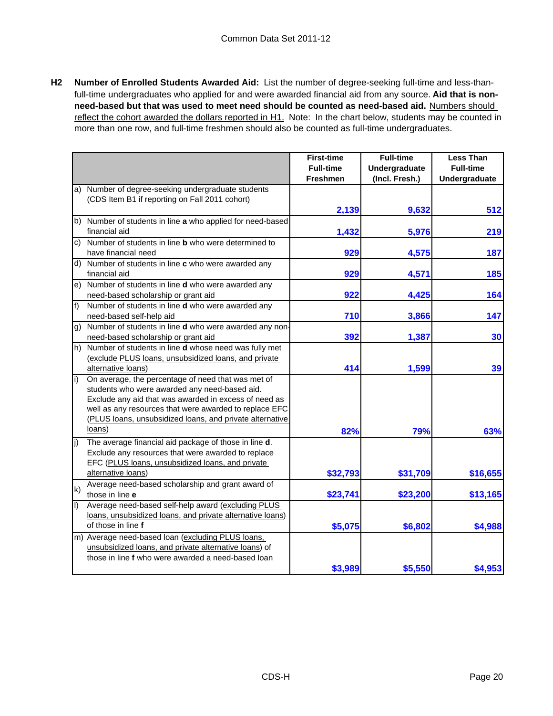**H2 Number of Enrolled Students Awarded Aid:** List the number of degree-seeking full-time and less-thanfull-time undergraduates who applied for and were awarded financial aid from any source. **Aid that is nonneed-based but that was used to meet need should be counted as need-based aid.** Numbers should reflect the cohort awarded the dollars reported in H1. Note: In the chart below, students may be counted in more than one row, and full-time freshmen should also be counted as full-time undergraduates.

|                   |                                                            | <b>First-time</b> | <b>Full-time</b> | <b>Less Than</b>     |
|-------------------|------------------------------------------------------------|-------------------|------------------|----------------------|
|                   |                                                            | <b>Full-time</b>  | Undergraduate    | <b>Full-time</b>     |
|                   |                                                            | <b>Freshmen</b>   | (Incl. Fresh.)   | <b>Undergraduate</b> |
| a)                | Number of degree-seeking undergraduate students            |                   |                  |                      |
|                   | (CDS Item B1 if reporting on Fall 2011 cohort)             |                   |                  |                      |
|                   |                                                            | 2,139             | 9,632            | 512                  |
|                   | b) Number of students in line a who applied for need-based |                   |                  |                      |
|                   | financial aid                                              | 1,432             | 5,976            | 219                  |
| C)                | Number of students in line <b>b</b> who were determined to |                   |                  |                      |
|                   | have financial need                                        | 929               | 4,575            | 187                  |
|                   | d) Number of students in line c who were awarded any       |                   |                  |                      |
|                   | financial aid                                              | 929               | 4,571            | 185                  |
| e)                | Number of students in line d who were awarded any          |                   |                  |                      |
|                   | need-based scholarship or grant aid                        | 922               | 4,425            | 164                  |
| f)                | Number of students in line d who were awarded any          |                   |                  |                      |
|                   | need-based self-help aid                                   | 710               | 3,866            | 147                  |
| g)                | Number of students in line d who were awarded any non-     |                   |                  |                      |
|                   | need-based scholarship or grant aid                        | 392               | 1,387            | 30                   |
| $\vert h \rangle$ | Number of students in line d whose need was fully met      |                   |                  |                      |
|                   | (exclude PLUS loans, unsubsidized loans, and private       |                   |                  |                      |
|                   | alternative loans)                                         | 414               | 1,599            | 39                   |
| i)                | On average, the percentage of need that was met of         |                   |                  |                      |
|                   | students who were awarded any need-based aid.              |                   |                  |                      |
|                   | Exclude any aid that was awarded in excess of need as      |                   |                  |                      |
|                   | well as any resources that were awarded to replace EFC     |                   |                  |                      |
|                   | (PLUS loans, unsubsidized loans, and private alternative   |                   |                  |                      |
|                   | loans)                                                     | 82%               | 79%              | 63%                  |
| j)                | The average financial aid package of those in line d.      |                   |                  |                      |
|                   | Exclude any resources that were awarded to replace         |                   |                  |                      |
|                   | EFC (PLUS loans, unsubsidized loans, and private           |                   |                  |                      |
|                   | alternative loans)                                         | \$32,793          | \$31,709         | \$16,655             |
|                   | Average need-based scholarship and grant award of          |                   |                  |                      |
| $\mathsf{k}$      | those in line e                                            | \$23,741          | \$23,200         | \$13,165             |
| $\vert$           | Average need-based self-help award (excluding PLUS         |                   |                  |                      |
|                   | loans, unsubsidized loans, and private alternative loans)  |                   |                  |                      |
|                   | of those in line f                                         | \$5,075           | \$6,802          | \$4,988              |
|                   | m) Average need-based loan (excluding PLUS loans,          |                   |                  |                      |
|                   | unsubsidized loans, and private alternative loans) of      |                   |                  |                      |
|                   | those in line f who were awarded a need-based loan         |                   |                  |                      |
|                   |                                                            | \$3,989           | \$5,550          | \$4,953              |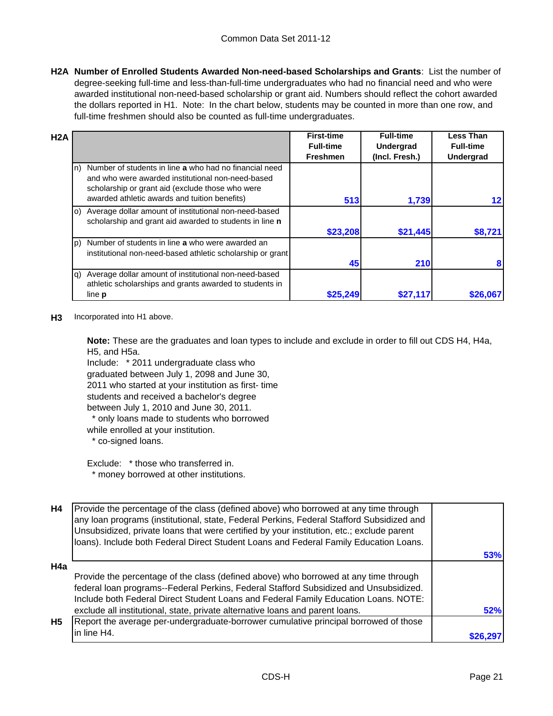**H2A Number of Enrolled Students Awarded Non-need-based Scholarships and Grants**: List the number of degree-seeking full-time and less-than-full-time undergraduates who had no financial need and who were awarded institutional non-need-based scholarship or grant aid. Numbers should reflect the cohort awarded the dollars reported in H1. Note: In the chart below, students may be counted in more than one row, and full-time freshmen should also be counted as full-time undergraduates.

| H <sub>2</sub> A |                                                                                                                                                                 | <b>First-time</b> | <b>Full-time</b> | <b>Less Than</b> |
|------------------|-----------------------------------------------------------------------------------------------------------------------------------------------------------------|-------------------|------------------|------------------|
|                  |                                                                                                                                                                 | <b>Full-time</b>  | <b>Undergrad</b> | <b>Full-time</b> |
|                  |                                                                                                                                                                 | <b>Freshmen</b>   | (Incl. Fresh.)   | <b>Undergrad</b> |
| ln)              | Number of students in line a who had no financial need<br>and who were awarded institutional non-need-based<br>scholarship or grant aid (exclude those who were |                   |                  |                  |
|                  | awarded athletic awards and tuition benefits)                                                                                                                   | 513               | 1,739            |                  |
| lo)              | Average dollar amount of institutional non-need-based<br>scholarship and grant aid awarded to students in line n                                                |                   |                  |                  |
|                  |                                                                                                                                                                 | \$23,208          | \$21,445         | \$8,721          |
| (p               | Number of students in line a who were awarded an<br>institutional non-need-based athletic scholarship or grant                                                  |                   |                  |                  |
|                  |                                                                                                                                                                 | 45                | 210              | 8                |
| lg)              | Average dollar amount of institutional non-need-based                                                                                                           |                   |                  |                  |
|                  | athletic scholarships and grants awarded to students in                                                                                                         |                   |                  |                  |
|                  | line <b>p</b>                                                                                                                                                   | \$25,249          | \$27,117         | \$26,067         |

#### **H3** Incorporated into H1 above.

**Note:** These are the graduates and loan types to include and exclude in order to fill out CDS H4, H4a, H5, and H5a.

Include: \* 2011 undergraduate class who graduated between July 1, 2098 and June 30, 2011 who started at your institution as first- time students and received a bachelor's degree between July 1, 2010 and June 30, 2011. \* only loans made to students who borrowed

while enrolled at your institution. \* co-signed loans.

Exclude: \* those who transferred in. \* money borrowed at other institutions.

| H4        | Provide the percentage of the class (defined above) who borrowed at any time through<br>any loan programs (institutional, state, Federal Perkins, Federal Stafford Subsidized and<br>Unsubsidized, private loans that were certified by your institution, etc.; exclude parent<br>loans). Include both Federal Direct Student Loans and Federal Family Education Loans. |     |
|-----------|-------------------------------------------------------------------------------------------------------------------------------------------------------------------------------------------------------------------------------------------------------------------------------------------------------------------------------------------------------------------------|-----|
|           |                                                                                                                                                                                                                                                                                                                                                                         | 53% |
| H4a       |                                                                                                                                                                                                                                                                                                                                                                         |     |
|           | Provide the percentage of the class (defined above) who borrowed at any time through<br>federal loan programs--Federal Perkins, Federal Stafford Subsidized and Unsubsidized.<br>Include both Federal Direct Student Loans and Federal Family Education Loans. NOTE:                                                                                                    |     |
|           | exclude all institutional, state, private alternative loans and parent loans.                                                                                                                                                                                                                                                                                           | 52% |
| <b>H5</b> | Report the average per-undergraduate-borrower cumulative principal borrowed of those                                                                                                                                                                                                                                                                                    |     |
|           | in line H4.                                                                                                                                                                                                                                                                                                                                                             |     |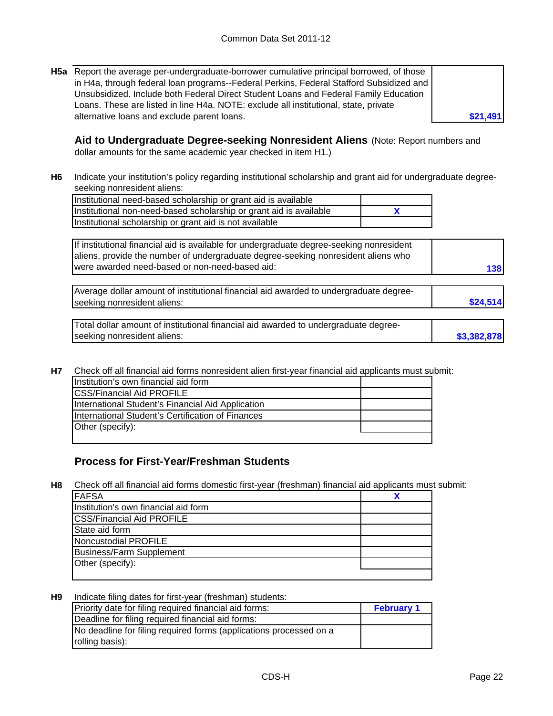**H5a** Report the average per-undergraduate-borrower cumulative principal borrowed, of those in H4a, through federal loan programs--Federal Perkins, Federal Stafford Subsidized and Unsubsidized. Include both Federal Direct Student Loans and Federal Family Education Loans. These are listed in line H4a. NOTE: exclude all institutional, state, private alternative loans and exclude parent loans.

**Aid to Undergraduate Degree-seeking Nonresident Aliens** (Note: Report numbers and dollar amounts for the same academic year checked in item H1.)

**H6** Indicate your institution's policy regarding institutional scholarship and grant aid for undergraduate degreeseeking nonresident aliens:

**X** Institutional need-based scholarship or grant aid is available Institutional non-need-based scholarship or grant aid is available Institutional scholarship or grant aid is not available

If institutional financial aid is available for undergraduate degree-seeking nonresident aliens, provide the number of undergraduate degree-seeking nonresident aliens who were awarded need-based or non-need-based aid:

| Average dollar amount of institutional financial aid awarded to undergraduate degree- |          |
|---------------------------------------------------------------------------------------|----------|
| seeking nonresident aliens:                                                           | \$24,514 |

| Total dollar amount of institutional financial aid awarded to undergraduate degree- |             |
|-------------------------------------------------------------------------------------|-------------|
| seeking nonresident aliens:                                                         | \$3,382,878 |

**H7** Check off all financial aid forms nonresident alien first-year financial aid applicants must submit:

| Institution's own financial aid form              |  |
|---------------------------------------------------|--|
| <b>CSS/Financial Aid PROFILE</b>                  |  |
| International Student's Financial Aid Application |  |
| International Student's Certification of Finances |  |
| Other (specify):                                  |  |
|                                                   |  |

## **Process for First-Year/Freshman Students**

**H8** Check off all financial aid forms domestic first-year (freshman) financial aid applicants must submit:

| <b>FAFSA</b>                         |  |
|--------------------------------------|--|
| Institution's own financial aid form |  |
| <b>CSS/Financial Aid PROFILE</b>     |  |
| State aid form                       |  |
| Noncustodial PROFILE                 |  |
| <b>Business/Farm Supplement</b>      |  |
| Other (specify):                     |  |
|                                      |  |

**H9** Indicate filing dates for first-year (freshman) students:

| Priority date for filing required financial aid forms:             | <b>February 1</b> |
|--------------------------------------------------------------------|-------------------|
| Deadline for filing required financial aid forms:                  |                   |
| No deadline for filing required forms (applications processed on a |                   |
| rolling basis):                                                    |                   |

**\$21,491**

**138**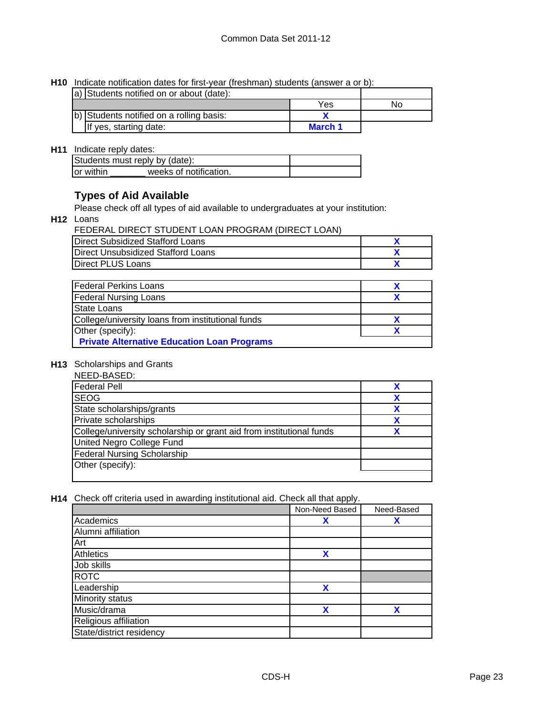**H10** Indicate notification dates for first-year (freshman) students (answer a or b):

| a) Students notified on or about (date): |                |     |
|------------------------------------------|----------------|-----|
|                                          | Yes            | No. |
| b) Students notified on a rolling basis: |                |     |
| If yes, starting date:                   | <b>March 1</b> |     |

### **H11** Indicate reply dates:

|           | Students must reply by (date): |  |
|-----------|--------------------------------|--|
| or within | weeks of notification.         |  |

## **Types of Aid Available**

Please check off all types of aid available to undergraduates at your institution:

**H12** Loans

| FEDERAL DIRECT STUDENT LOAN PROGRAM (DIRECT LOAN) |  |
|---------------------------------------------------|--|
| Direct Subsidized Stafford Loans                  |  |
| <b>IDirect Unsubsidized Stafford Loans</b>        |  |
| Direct PLUS Loans                                 |  |

| <b>Federal Perkins Loans</b>                       |  |
|----------------------------------------------------|--|
| <b>Federal Nursing Loans</b>                       |  |
| State Loans                                        |  |
| College/university loans from institutional funds  |  |
| Other (specify):                                   |  |
| <b>Private Alternative Education Loan Programs</b> |  |

#### **H13** Scholarships and Grants

| NEED-BASED:                                                          |   |
|----------------------------------------------------------------------|---|
| <b>Federal Pell</b>                                                  |   |
| <b>SEOG</b>                                                          |   |
| State scholarships/grants                                            | χ |
| Private scholarships                                                 |   |
| College/university scholarship or grant aid from institutional funds |   |
| United Negro College Fund                                            |   |
| <b>Federal Nursing Scholarship</b>                                   |   |
| Other (specify):                                                     |   |
|                                                                      |   |

**H14** Check off criteria used in awarding institutional aid. Check all that apply.

|                          | Non-Need Based | Need-Based |
|--------------------------|----------------|------------|
| Academics                | χ              | Х          |
| Alumni affiliation       |                |            |
| Art                      |                |            |
| <b>Athletics</b>         | X              |            |
| Job skills               |                |            |
| <b>ROTC</b>              |                |            |
| Leadership               | X              |            |
| Minority status          |                |            |
| Music/drama              | χ              | x          |
| Religious affiliation    |                |            |
| State/district residency |                |            |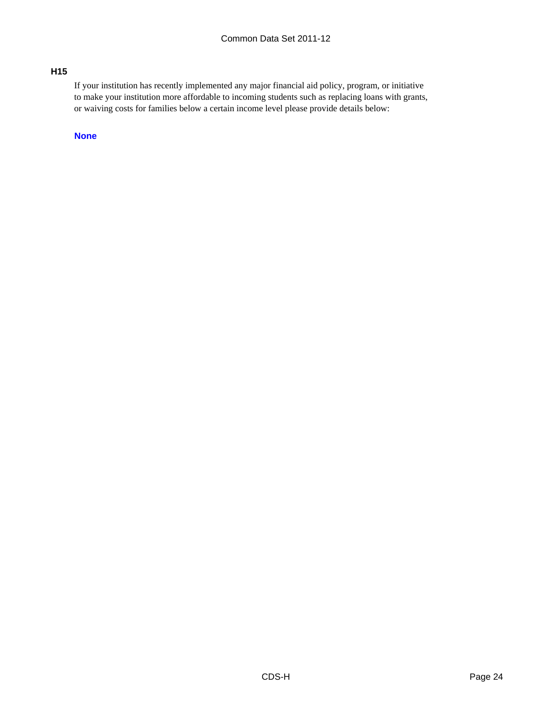### **H15**

If your institution has recently implemented any major financial aid policy, program, or initiative to make your institution more affordable to incoming students such as replacing loans with grants, or waiving costs for families below a certain income level please provide details below:

**None**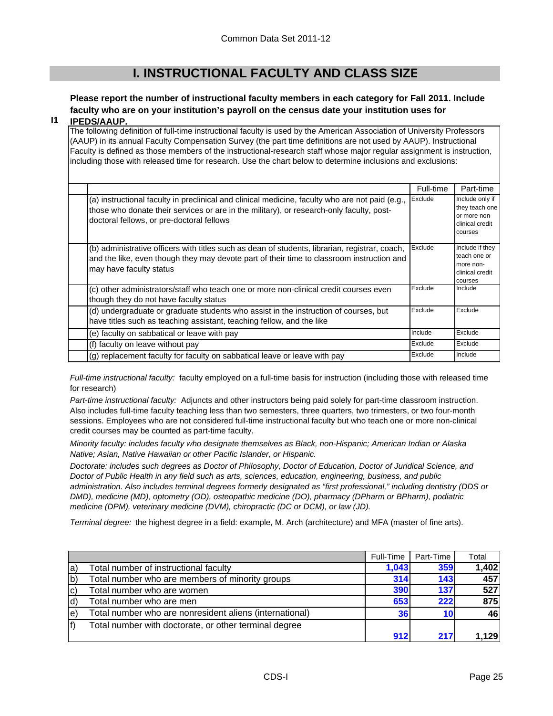## **I. INSTRUCTIONAL FACULTY AND CLASS SIZE**

# **Please report the number of instructional faculty members in each category for Fall 2011. Include faculty who are on your institution's payroll on the census date your institution uses for**

#### **I1 IPEDS/AAUP.**

The following definition of full-time instructional faculty is used by the American Association of University Professors (AAUP) in its annual Faculty Compensation Survey (the part time definitions are not used by AAUP). Instructional Faculty is defined as those members of the instructional-research staff whose major regular assignment is instruction, including those with released time for research. Use the chart below to determine inclusions and exclusions:

|                                                                                                                                                                                                                                          | Full-time | Part-time                                                                       |
|------------------------------------------------------------------------------------------------------------------------------------------------------------------------------------------------------------------------------------------|-----------|---------------------------------------------------------------------------------|
| (a) instructional faculty in preclinical and clinical medicine, faculty who are not paid (e.g.,<br>those who donate their services or are in the military), or research-only faculty, post-<br>doctoral fellows, or pre-doctoral fellows | Exclude   | Include only if<br>they teach one<br>or more non-<br>clinical credit<br>courses |
| (b) administrative officers with titles such as dean of students, librarian, registrar, coach,<br>and the like, even though they may devote part of their time to classroom instruction and<br>may have faculty status                   | Exclude   | Include if they<br>teach one or<br>more non-<br>clinical credit<br>courses      |
| (c) other administrators/staff who teach one or more non-clinical credit courses even<br>though they do not have faculty status                                                                                                          | Exclude   | Include                                                                         |
| (d) undergraduate or graduate students who assist in the instruction of courses, but<br>have titles such as teaching assistant, teaching fellow, and the like                                                                            | Exclude   | Exclude                                                                         |
| (e) faculty on sabbatical or leave with pay                                                                                                                                                                                              | Include   | Exclude                                                                         |
| (f) faculty on leave without pay                                                                                                                                                                                                         | Exclude   | Exclude                                                                         |
| (g) replacement faculty for faculty on sabbatical leave or leave with pay                                                                                                                                                                | Exclude   | Include                                                                         |

*Full-time instructional faculty:* faculty employed on a full-time basis for instruction (including those with released time for research)

*Part-time instructional faculty:* Adjuncts and other instructors being paid solely for part-time classroom instruction. Also includes full-time faculty teaching less than two semesters, three quarters, two trimesters, or two four-month sessions. Employees who are not considered full-time instructional faculty but who teach one or more non-clinical credit courses may be counted as part-time faculty.

*Minority faculty: includes faculty who designate themselves as Black, non-Hispanic; American Indian or Alaska Native; Asian, Native Hawaiian or other Pacific Islander, or Hispanic.* 

*Doctorate: includes such degrees as Doctor of Philosophy, Doctor of Education, Doctor of Juridical Science, and Doctor of Public Health in any field such as arts, sciences, education, engineering, business, and public administration. Also includes terminal degrees formerly designated as "first professional," including dentistry (DDS or DMD), medicine (MD), optometry (OD), osteopathic medicine (DO), pharmacy (DPharm or BPharm), podiatric medicine (DPM), veterinary medicine (DVM), chiropractic (DC or DCM), or law (JD).*

*Terminal degree:* the highest degree in a field: example, M. Arch (architecture) and MFA (master of fine arts).

|     |                                                         | Full-Time | Part-Time | Total |
|-----|---------------------------------------------------------|-----------|-----------|-------|
| la) | Total number of instructional faculty                   | 1,043     | 359       | 1,402 |
| b)  | Total number who are members of minority groups         | 314       | 143       | 457   |
| lc) | Total number who are women                              | 390       | 137       | 527   |
| ld) | Total number who are men                                | 653       | 222       | 875   |
| le) | Total number who are nonresident aliens (international) | 36        |           | 46I   |
|     | Total number with doctorate, or other terminal degree   |           |           |       |
|     |                                                         | 912       | 217       | 1.129 |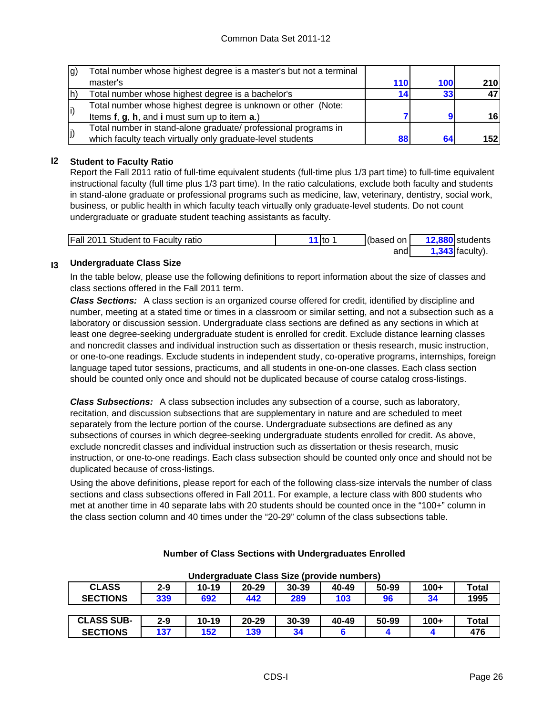| Ig) | Total number whose highest degree is a master's but not a terminal |     |     |            |
|-----|--------------------------------------------------------------------|-----|-----|------------|
|     | master's                                                           | 110 | 100 | <b>210</b> |
|     | Total number whose highest degree is a bachelor's                  | 14  | 33  |            |
|     | Total number whose highest degree is unknown or other (Note:       |     |     |            |
|     | Items f, g, h, and i must sum up to item a.)                       |     |     | 16         |
| (j  | Total number in stand-alone graduate/ professional programs in     |     |     |            |
|     | which faculty teach virtually only graduate-level students         | 88  | 64  | 152        |

### **I2 Student to Faculty Ratio**

Report the Fall 2011 ratio of full-time equivalent students (full-time plus 1/3 part time) to full-time equivalent instructional faculty (full time plus 1/3 part time). In the ratio calculations, exclude both faculty and students in stand-alone graduate or professional programs such as medicine, law, veterinary, dentistry, social work, business, or public health in which faculty teach virtually only graduate-level students. Do not count undergraduate or graduate student teaching assistants as faculty.

| <b>Fall 2011 Student to Faculty ratio</b> | 11 $\frac{1}{10}$ 1 | (based on | 12,880 students   |
|-------------------------------------------|---------------------|-----------|-------------------|
|                                           |                     | andl      | $1,343$ faculty). |

#### **I3 Undergraduate Class Size**

In the table below, please use the following definitions to report information about the size of classes and class sections offered in the Fall 2011 term.

*Class Sections:* A class section is an organized course offered for credit, identified by discipline and number, meeting at a stated time or times in a classroom or similar setting, and not a subsection such as a laboratory or discussion session. Undergraduate class sections are defined as any sections in which at least one degree-seeking undergraduate student is enrolled for credit. Exclude distance learning classes and noncredit classes and individual instruction such as dissertation or thesis research, music instruction, or one-to-one readings. Exclude students in independent study, co-operative programs, internships, foreign language taped tutor sessions, practicums, and all students in one-on-one classes. Each class section should be counted only once and should not be duplicated because of course catalog cross-listings.

*Class Subsections:* A class subsection includes any subsection of a course, such as laboratory, recitation, and discussion subsections that are supplementary in nature and are scheduled to meet separately from the lecture portion of the course. Undergraduate subsections are defined as any subsections of courses in which degree-seeking undergraduate students enrolled for credit. As above, exclude noncredit classes and individual instruction such as dissertation or thesis research, music instruction, or one-to-one readings. Each class subsection should be counted only once and should not be duplicated because of cross-listings.

Using the above definitions, please report for each of the following class-size intervals the number of class sections and class subsections offered in Fall 2011. For example, a lecture class with 800 students who met at another time in 40 separate labs with 20 students should be counted once in the "100+" column in the class section column and 40 times under the "20-29" column of the class subsections table.

| <u>UNUEL ALQUALE CIASS SIZE (DI UVIUE TIUMINELS)</u> |         |           |           |           |       |       |        |              |
|------------------------------------------------------|---------|-----------|-----------|-----------|-------|-------|--------|--------------|
| <b>CLASS</b>                                         | $2 - 9$ | $10 - 19$ | $20 - 29$ | 30-39     | 40-49 | 50-99 | $100+$ | <b>Total</b> |
| <b>SECTIONS</b>                                      | 339     | 692       | 442       | 289       | 103   | 96    | 34     | 1995         |
|                                                      |         |           |           |           |       |       |        |              |
| <b>CLASS SUB-</b>                                    | $2 - 9$ | $10 - 19$ | $20 - 29$ | $30 - 39$ | 40-49 | 50-99 | $100+$ | <b>Total</b> |
| <b>SECTIONS</b>                                      | 137     | 152       | 139       | 34        |       |       |        | 476          |

### **Number of Class Sections with Undergraduates Enrolled**

**Undergraduate Class Size (provide numbers)**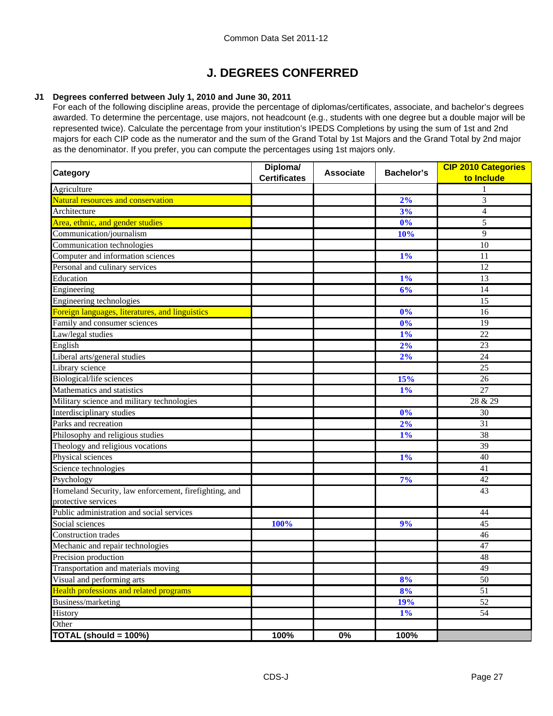# **J. DEGREES CONFERRED**

### **J1 Degrees conferred between July 1, 2010 and June 30, 2011**

For each of the following discipline areas, provide the percentage of diplomas/certificates, associate, and bachelor's degrees awarded. To determine the percentage, use majors, not headcount (e.g., students with one degree but a double major will be represented twice). Calculate the percentage from your institution's IPEDS Completions by using the sum of 1st and 2nd majors for each CIP code as the numerator and the sum of the Grand Total by 1st Majors and the Grand Total by 2nd major as the denominator. If you prefer, you can compute the percentages using 1st majors only.

| <b>Category</b>                                       | Diploma/<br><b>Certificates</b> | <b>Associate</b> | <b>Bachelor's</b> | <b>CIP 2010 Categories</b><br>to Include |  |
|-------------------------------------------------------|---------------------------------|------------------|-------------------|------------------------------------------|--|
| Agriculture                                           |                                 |                  |                   |                                          |  |
| Natural resources and conservation                    |                                 |                  | 2%                | 3                                        |  |
| Architecture                                          |                                 |                  | 3%                | $\overline{4}$                           |  |
| Area, ethnic, and gender studies                      |                                 |                  | 0%                | 5                                        |  |
| Communication/journalism                              |                                 |                  | 10%               | 9                                        |  |
| Communication technologies                            |                                 |                  |                   | 10                                       |  |
| Computer and information sciences                     |                                 |                  | $1\%$             | 11                                       |  |
| Personal and culinary services                        |                                 |                  |                   | 12                                       |  |
| Education                                             |                                 |                  | 1%                | 13                                       |  |
| Engineering                                           |                                 |                  | 6%                | 14                                       |  |
| Engineering technologies                              |                                 |                  |                   | 15                                       |  |
| Foreign languages, literatures, and linguistics       |                                 |                  | 0%                | 16                                       |  |
| Family and consumer sciences                          |                                 |                  | 0%                | 19                                       |  |
| Law/legal studies                                     |                                 |                  | 1%                | 22                                       |  |
| English                                               |                                 |                  | 2%                | 23                                       |  |
| Liberal arts/general studies                          |                                 |                  | 2%                | 24                                       |  |
| Library science                                       |                                 |                  |                   | 25                                       |  |
| Biological/life sciences                              |                                 |                  | 15%               | 26                                       |  |
| Mathematics and statistics                            |                                 |                  | 1%                | 27                                       |  |
| Military science and military technologies            |                                 |                  |                   | 28 & 29                                  |  |
| Interdisciplinary studies                             |                                 |                  | 0%                | 30                                       |  |
| Parks and recreation                                  |                                 |                  | 2%                | 31                                       |  |
| Philosophy and religious studies                      |                                 |                  | 1%                | 38                                       |  |
| Theology and religious vocations                      |                                 |                  |                   | 39                                       |  |
| Physical sciences                                     |                                 |                  | 1%                | 40                                       |  |
| Science technologies                                  |                                 |                  |                   | 41                                       |  |
| Psychology                                            |                                 |                  | 7%                | 42                                       |  |
| Homeland Security, law enforcement, firefighting, and |                                 |                  |                   | 43                                       |  |
| protective services                                   |                                 |                  |                   |                                          |  |
| Public administration and social services             |                                 |                  |                   | 44                                       |  |
| Social sciences                                       | 100%                            |                  | 9%                | 45                                       |  |
| <b>Construction</b> trades                            |                                 |                  |                   | 46                                       |  |
| Mechanic and repair technologies                      |                                 |                  |                   | 47                                       |  |
| Precision production                                  |                                 |                  |                   | 48                                       |  |
| Transportation and materials moving                   |                                 |                  |                   | 49                                       |  |
| Visual and performing arts                            |                                 |                  | 8%                | 50                                       |  |
| <b>Health professions and related programs</b>        |                                 |                  | 8%                | $\overline{51}$                          |  |
| Business/marketing                                    |                                 |                  | 19%               | $52\,$                                   |  |
| History                                               |                                 |                  | $1\%$             | 54                                       |  |
| Other                                                 |                                 |                  |                   |                                          |  |
| TOTAL (should = 100%)                                 | 100%                            | $0\%$            | 100%              |                                          |  |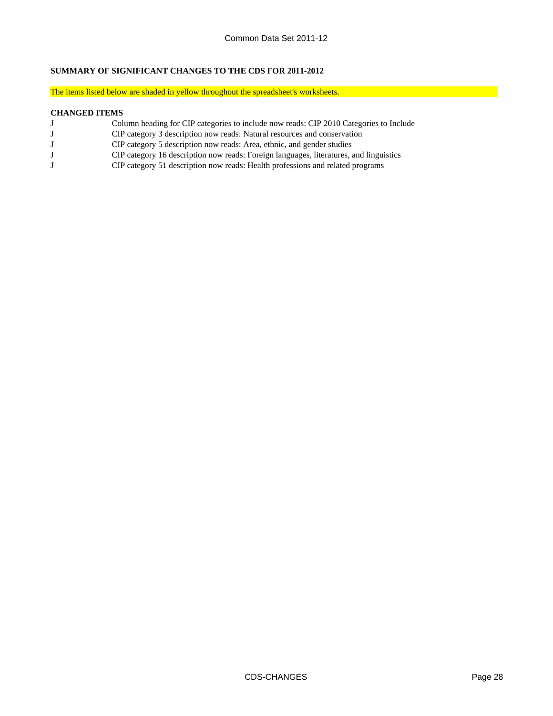#### **SUMMARY OF SIGNIFICANT CHANGES TO THE CDS FOR 2011-2012**

The items listed below are shaded in yellow throughout the spreadsheet's worksheets.

#### **CHANGED ITEMS**

- J Column heading for CIP categories to include now reads: CIP 2010 Categories to Include
- J CIP category 3 description now reads: Natural resources and conservation<br>J CIP category 5 description now reads: Area, ethnic, and gender studies
- CIP category 5 description now reads: Area, ethnic, and gender studies
- J CIP category 16 description now reads: Foreign languages, literatures, and linguistics
- J CIP category 51 description now reads: Health professions and related programs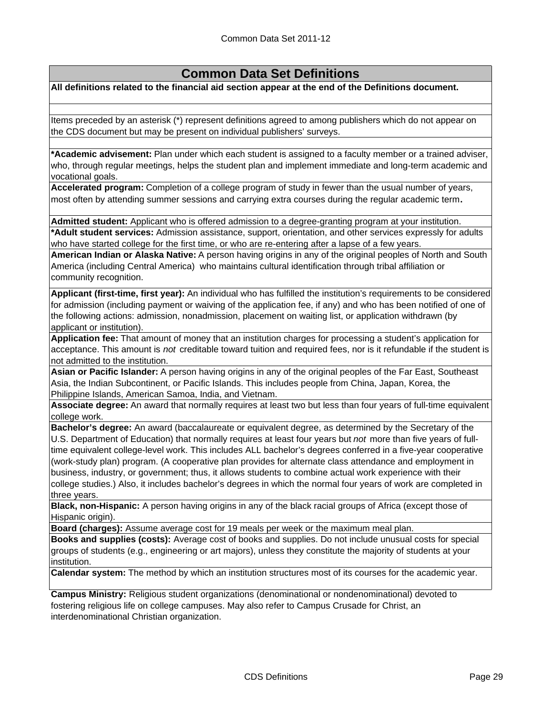# **Common Data Set Definitions**

**All definitions related to the financial aid section appear at the end of the Definitions document.**

Items preceded by an asterisk (\*) represent definitions agreed to among publishers which do not appear on the CDS document but may be present on individual publishers' surveys.

**\*Academic advisement:** Plan under which each student is assigned to a faculty member or a trained adviser, who, through regular meetings, helps the student plan and implement immediate and long-term academic and vocational goals.

**Accelerated program:** Completion of a college program of study in fewer than the usual number of years, most often by attending summer sessions and carrying extra courses during the regular academic term**.**

**Admitted student:** Applicant who is offered admission to a degree-granting program at your institution. **\*Adult student services:** Admission assistance, support, orientation, and other services expressly for adults who have started college for the first time, or who are re-entering after a lapse of a few years.

**American Indian or Alaska Native:** A person having origins in any of the original peoples of North and South America (including Central America) who maintains cultural identification through tribal affiliation or community recognition.

**Applicant (first-time, first year):** An individual who has fulfilled the institution's requirements to be considered for admission (including payment or waiving of the application fee, if any) and who has been notified of one of the following actions: admission, nonadmission, placement on waiting list, or application withdrawn (by applicant or institution).

**Application fee:** That amount of money that an institution charges for processing a student's application for acceptance. This amount is *not* creditable toward tuition and required fees, nor is it refundable if the student is not admitted to the institution.

**Asian or Pacific Islander:** A person having origins in any of the original peoples of the Far East, Southeast Asia, the Indian Subcontinent, or Pacific Islands. This includes people from China, Japan, Korea, the Philippine Islands, American Samoa, India, and Vietnam.

**Associate degree:** An award that normally requires at least two but less than four years of full-time equivalent college work.

**Bachelor's degree:** An award (baccalaureate or equivalent degree, as determined by the Secretary of the U.S. Department of Education) that normally requires at least four years but *not* more than five years of fulltime equivalent college-level work. This includes ALL bachelor's degrees conferred in a five-year cooperative (work-study plan) program. (A cooperative plan provides for alternate class attendance and employment in business, industry, or government; thus, it allows students to combine actual work experience with their college studies.) Also, it includes bachelor's degrees in which the normal four years of work are completed in three years.

**Black, non-Hispanic:** A person having origins in any of the black racial groups of Africa (except those of Hispanic origin).

**Board (charges):** Assume average cost for 19 meals per week or the maximum meal plan.

**Books and supplies (costs):** Average cost of books and supplies. Do not include unusual costs for special groups of students (e.g., engineering or art majors), unless they constitute the majority of students at your institution.

**Calendar system:** The method by which an institution structures most of its courses for the academic year.

**Campus Ministry:** Religious student organizations (denominational or nondenominational) devoted to fostering religious life on college campuses. May also refer to Campus Crusade for Christ, an interdenominational Christian organization.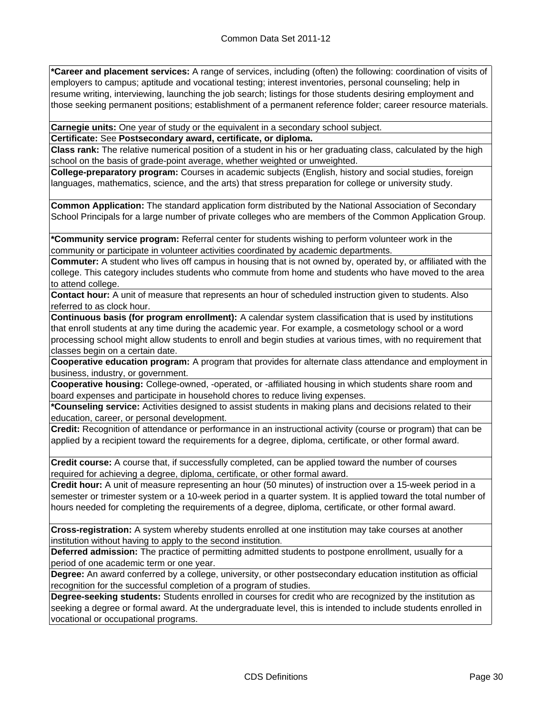**\*Career and placement services:** A range of services, including (often) the following: coordination of visits of employers to campus; aptitude and vocational testing; interest inventories, personal counseling; help in resume writing, interviewing, launching the job search; listings for those students desiring employment and those seeking permanent positions; establishment of a permanent reference folder; career resource materials.

**Carnegie units:** One year of study or the equivalent in a secondary school subject.

**Certificate:** See **Postsecondary award, certificate, or diploma.**

**Class rank:** The relative numerical position of a student in his or her graduating class, calculated by the high school on the basis of grade-point average, whether weighted or unweighted.

**College-preparatory program:** Courses in academic subjects (English, history and social studies, foreign languages, mathematics, science, and the arts) that stress preparation for college or university study.

**Common Application:** The standard application form distributed by the National Association of Secondary School Principals for a large number of private colleges who are members of the Common Application Group.

**\*Community service program:** Referral center for students wishing to perform volunteer work in the community or participate in volunteer activities coordinated by academic departments.

**Commuter:** A student who lives off campus in housing that is not owned by, operated by, or affiliated with the college. This category includes students who commute from home and students who have moved to the area to attend college.

**Contact hour:** A unit of measure that represents an hour of scheduled instruction given to students. Also referred to as clock hour.

**Continuous basis (for program enrollment):** A calendar system classification that is used by institutions that enroll students at any time during the academic year. For example, a cosmetology school or a word processing school might allow students to enroll and begin studies at various times, with no requirement that classes begin on a certain date.

**Cooperative education program:** A program that provides for alternate class attendance and employment in business, industry, or government.

**Cooperative housing:** College-owned, -operated, or -affiliated housing in which students share room and board expenses and participate in household chores to reduce living expenses.

**\*Counseling service:** Activities designed to assist students in making plans and decisions related to their education, career, or personal development.

**Credit:** Recognition of attendance or performance in an instructional activity (course or program) that can be applied by a recipient toward the requirements for a degree, diploma, certificate, or other formal award.

**Credit course:** A course that, if successfully completed, can be applied toward the number of courses required for achieving a degree, diploma, certificate, or other formal award.

**Credit hour:** A unit of measure representing an hour (50 minutes) of instruction over a 15-week period in a semester or trimester system or a 10-week period in a quarter system. It is applied toward the total number of hours needed for completing the requirements of a degree, diploma, certificate, or other formal award.

**Cross-registration:** A system whereby students enrolled at one institution may take courses at another institution without having to apply to the second institution.

**Deferred admission:** The practice of permitting admitted students to postpone enrollment, usually for a period of one academic term or one year.

**Degree:** An award conferred by a college, university, or other postsecondary education institution as official recognition for the successful completion of a program of studies.

**Degree-seeking students:** Students enrolled in courses for credit who are recognized by the institution as seeking a degree or formal award. At the undergraduate level, this is intended to include students enrolled in vocational or occupational programs.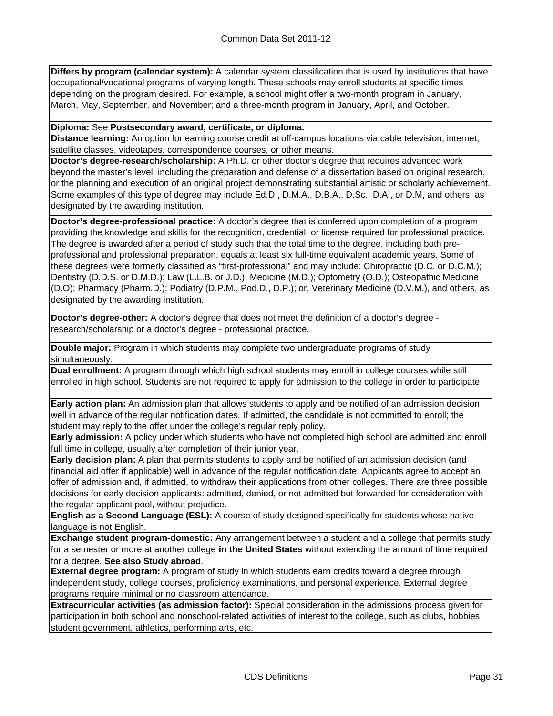**Differs by program (calendar system):** A calendar system classification that is used by institutions that have occupational/vocational programs of varying length. These schools may enroll students at specific times depending on the program desired. For example, a school might offer a two-month program in January, March, May, September, and November; and a three-month program in January, April, and October.

**Diploma:** See **Postsecondary award, certificate, or diploma.**

**Distance learning:** An option for earning course credit at off-campus locations via cable television, internet, satellite classes, videotapes, correspondence courses, or other means.

**Doctor's degree-research/scholarship:** A Ph.D. or other doctor's degree that requires advanced work beyond the master's level, including the preparation and defense of a dissertation based on original research, or the planning and execution of an original project demonstrating substantial artistic or scholarly achievement. Some examples of this type of degree may include Ed.D., D.M.A., D.B.A., D.Sc., D.A., or D.M, and others, as designated by the awarding institution.

**Doctor's degree-professional practice:** A doctor's degree that is conferred upon completion of a program providing the knowledge and skills for the recognition, credential, or license required for professional practice. The degree is awarded after a period of study such that the total time to the degree, including both preprofessional and professional preparation, equals at least six full-time equivalent academic years. Some of these degrees were formerly classified as "first-professional" and may include: Chiropractic (D.C. or D.C.M.); Dentistry (D.D.S. or D.M.D.); Law (L.L.B. or J.D.); Medicine (M.D.); Optometry (O.D.); Osteopathic Medicine (D.O); Pharmacy (Pharm.D.); Podiatry (D.P.M., Pod.D., D.P.); or, Veterinary Medicine (D.V.M.), and others, as designated by the awarding institution.

**Doctor's degree-other:** A doctor's degree that does not meet the definition of a doctor's degree research/scholarship or a doctor's degree - professional practice.

**Double major:** Program in which students may complete two undergraduate programs of study simultaneously.

**Dual enrollment:** A program through which high school students may enroll in college courses while still enrolled in high school. Students are not required to apply for admission to the college in order to participate.

**Early action plan:** An admission plan that allows students to apply and be notified of an admission decision well in advance of the regular notification dates. If admitted, the candidate is not committed to enroll; the student may reply to the offer under the college's regular reply policy.

**Early admission:** A policy under which students who have not completed high school are admitted and enroll full time in college, usually after completion of their junior year.

**Early decision plan:** A plan that permits students to apply and be notified of an admission decision (and financial aid offer if applicable) well in advance of the regular notification date. Applicants agree to accept an offer of admission and, if admitted, to withdraw their applications from other colleges. There are three possible decisions for early decision applicants: admitted, denied, or not admitted but forwarded for consideration with the regular applicant pool, without prejudice.

**English as a Second Language (ESL):** A course of study designed specifically for students whose native language is not English.

**Exchange student program-domestic:** Any arrangement between a student and a college that permits study for a semester or more at another college **in the United States** without extending the amount of time required for a degree. **See also Study abroad**.

**External degree program:** A program of study in which students earn credits toward a degree through independent study, college courses, proficiency examinations, and personal experience. External degree programs require minimal or no classroom attendance.

**Extracurricular activities (as admission factor):** Special consideration in the admissions process given for participation in both school and nonschool-related activities of interest to the college, such as clubs, hobbies, student government, athletics, performing arts, etc.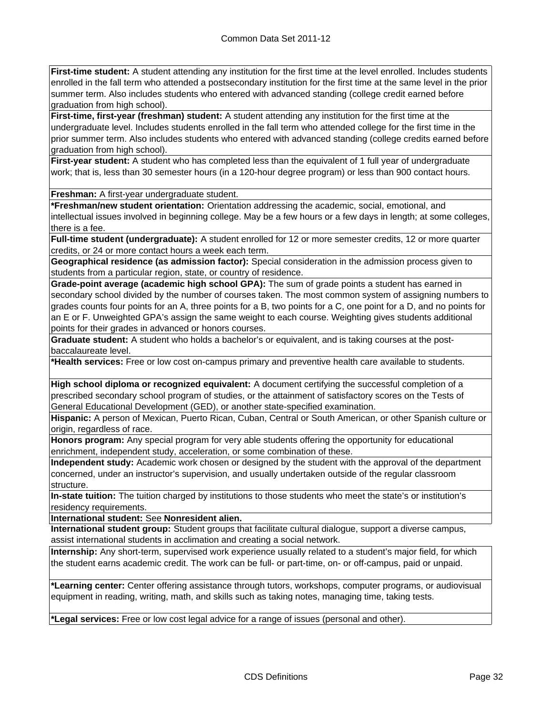**First-time student:** A student attending any institution for the first time at the level enrolled. Includes students enrolled in the fall term who attended a postsecondary institution for the first time at the same level in the prior summer term. Also includes students who entered with advanced standing (college credit earned before graduation from high school).

**First-time, first-year (freshman) student:** A student attending any institution for the first time at the undergraduate level. Includes students enrolled in the fall term who attended college for the first time in the prior summer term. Also includes students who entered with advanced standing (college credits earned before graduation from high school).

**First-year student:** A student who has completed less than the equivalent of 1 full year of undergraduate work; that is, less than 30 semester hours (in a 120-hour degree program) or less than 900 contact hours.

**Freshman:** A first-year undergraduate student.

**\*Freshman/new student orientation:** Orientation addressing the academic, social, emotional, and intellectual issues involved in beginning college. May be a few hours or a few days in length; at some colleges, there is a fee.

**Full-time student (undergraduate):** A student enrolled for 12 or more semester credits, 12 or more quarter credits, or 24 or more contact hours a week each term.

**Geographical residence (as admission factor):** Special consideration in the admission process given to students from a particular region, state, or country of residence.

**Grade-point average (academic high school GPA):** The sum of grade points a student has earned in secondary school divided by the number of courses taken. The most common system of assigning numbers to grades counts four points for an A, three points for a B, two points for a C, one point for a D, and no points for an E or F. Unweighted GPA's assign the same weight to each course. Weighting gives students additional points for their grades in advanced or honors courses.

**Graduate student:** A student who holds a bachelor's or equivalent, and is taking courses at the postbaccalaureate level.

**\*Health services:** Free or low cost on-campus primary and preventive health care available to students.

**High school diploma or recognized equivalent:** A document certifying the successful completion of a prescribed secondary school program of studies, or the attainment of satisfactory scores on the Tests of General Educational Development (GED), or another state-specified examination.

**Hispanic:** A person of Mexican, Puerto Rican, Cuban, Central or South American, or other Spanish culture or origin, regardless of race.

**Honors program:** Any special program for very able students offering the opportunity for educational enrichment, independent study, acceleration, or some combination of these.

**Independent study:** Academic work chosen or designed by the student with the approval of the department concerned, under an instructor's supervision, and usually undertaken outside of the regular classroom structure.

**In-state tuition:** The tuition charged by institutions to those students who meet the state's or institution's residency requirements.

**International student:** See **Nonresident alien.**

**International student group:** Student groups that facilitate cultural dialogue, support a diverse campus, assist international students in acclimation and creating a social network.

**Internship:** Any short-term, supervised work experience usually related to a student's major field, for which the student earns academic credit. The work can be full- or part-time, on- or off-campus, paid or unpaid.

**\*Learning center:** Center offering assistance through tutors, workshops, computer programs, or audiovisual equipment in reading, writing, math, and skills such as taking notes, managing time, taking tests.

**\*Legal services:** Free or low cost legal advice for a range of issues (personal and other).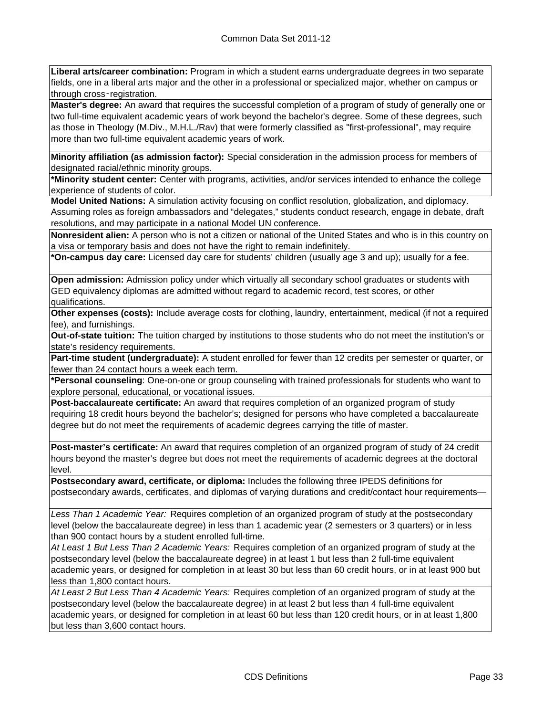**Liberal arts/career combination:** Program in which a student earns undergraduate degrees in two separate fields, one in a liberal arts major and the other in a professional or specialized major, whether on campus or through cross‑registration.

**Master's degree:** An award that requires the successful completion of a program of study of generally one or two full-time equivalent academic years of work beyond the bachelor's degree. Some of these degrees, such as those in Theology (M.Div., M.H.L./Rav) that were formerly classified as "first-professional", may require more than two full-time equivalent academic years of work.

**Minority affiliation (as admission factor):** Special consideration in the admission process for members of designated racial/ethnic minority groups.

**\*Minority student center:** Center with programs, activities, and/or services intended to enhance the college experience of students of color.

**Model United Nations:** A simulation activity focusing on conflict resolution, globalization, and diplomacy. Assuming roles as foreign ambassadors and "delegates," students conduct research, engage in debate, draft resolutions, and may participate in a national Model UN conference.

**Nonresident alien:** A person who is not a citizen or national of the United States and who is in this country on a visa or temporary basis and does not have the right to remain indefinitely.

**\*On-campus day care:** Licensed day care for students' children (usually age 3 and up); usually for a fee.

**Open admission:** Admission policy under which virtually all secondary school graduates or students with GED equivalency diplomas are admitted without regard to academic record, test scores, or other qualifications.

**Other expenses (costs):** Include average costs for clothing, laundry, entertainment, medical (if not a required fee), and furnishings.

**Out-of-state tuition:** The tuition charged by institutions to those students who do not meet the institution's or state's residency requirements.

**Part-time student (undergraduate):** A student enrolled for fewer than 12 credits per semester or quarter, or fewer than 24 contact hours a week each term.

**\*Personal counseling**: One-on-one or group counseling with trained professionals for students who want to explore personal, educational, or vocational issues.

**Post-baccalaureate certificate:** An award that requires completion of an organized program of study requiring 18 credit hours beyond the bachelor's; designed for persons who have completed a baccalaureate degree but do not meet the requirements of academic degrees carrying the title of master.

**Post-master's certificate:** An award that requires completion of an organized program of study of 24 credit hours beyond the master's degree but does not meet the requirements of academic degrees at the doctoral level.

**Postsecondary award, certificate, or diploma:** Includes the following three IPEDS definitions for postsecondary awards, certificates, and diplomas of varying durations and credit/contact hour requirements—

*Less Than 1 Academic Year:* Requires completion of an organized program of study at the postsecondary level (below the baccalaureate degree) in less than 1 academic year (2 semesters or 3 quarters) or in less than 900 contact hours by a student enrolled full-time.

*At Least 1 But Less Than 2 Academic Years:* Requires completion of an organized program of study at the postsecondary level (below the baccalaureate degree) in at least 1 but less than 2 full-time equivalent academic years, or designed for completion in at least 30 but less than 60 credit hours, or in at least 900 but less than 1,800 contact hours.

*At Least 2 But Less Than 4 Academic Years:* Requires completion of an organized program of study at the postsecondary level (below the baccalaureate degree) in at least 2 but less than 4 full-time equivalent academic years, or designed for completion in at least 60 but less than 120 credit hours, or in at least 1,800 but less than 3,600 contact hours.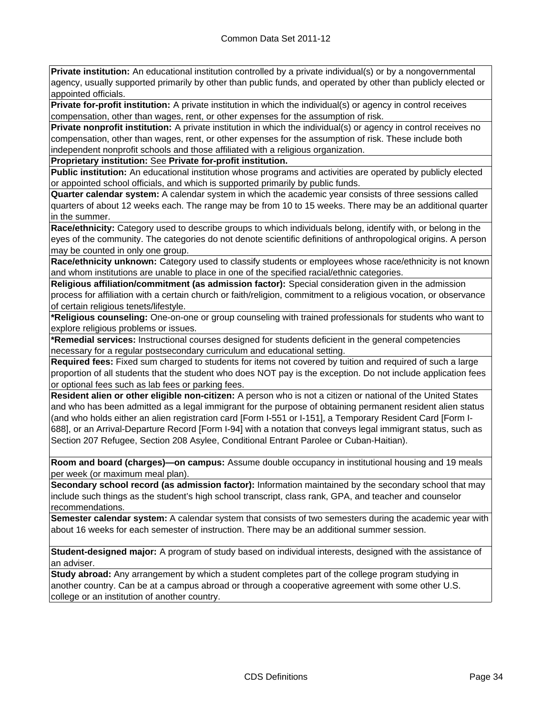**Private institution:** An educational institution controlled by a private individual(s) or by a nongovernmental agency, usually supported primarily by other than public funds, and operated by other than publicly elected or appointed officials.

**Private for-profit institution:** A private institution in which the individual(s) or agency in control receives compensation, other than wages, rent, or other expenses for the assumption of risk.

**Private nonprofit institution:** A private institution in which the individual(s) or agency in control receives no compensation, other than wages, rent, or other expenses for the assumption of risk. These include both independent nonprofit schools and those affiliated with a religious organization.

**Proprietary institution:** See **Private for-profit institution.**

**Public institution:** An educational institution whose programs and activities are operated by publicly elected or appointed school officials, and which is supported primarily by public funds.

**Quarter calendar system:** A calendar system in which the academic year consists of three sessions called quarters of about 12 weeks each. The range may be from 10 to 15 weeks. There may be an additional quarter in the summer.

**Race/ethnicity:** Category used to describe groups to which individuals belong, identify with, or belong in the eyes of the community. The categories do not denote scientific definitions of anthropological origins. A person may be counted in only one group.

**Race/ethnicity unknown:** Category used to classify students or employees whose race/ethnicity is not known and whom institutions are unable to place in one of the specified racial/ethnic categories.

**Religious affiliation/commitment (as admission factor):** Special consideration given in the admission process for affiliation with a certain church or faith/religion, commitment to a religious vocation, or observance of certain religious tenets/lifestyle.

**\*Religious counseling:** One-on-one or group counseling with trained professionals for students who want to explore religious problems or issues.

**\*Remedial services:** Instructional courses designed for students deficient in the general competencies necessary for a regular postsecondary curriculum and educational setting.

**Required fees:** Fixed sum charged to students for items not covered by tuition and required of such a large proportion of all students that the student who does NOT pay is the exception. Do not include application fees or optional fees such as lab fees or parking fees.

**Resident alien or other eligible non-citizen:** A person who is not a citizen or national of the United States and who has been admitted as a legal immigrant for the purpose of obtaining permanent resident alien status (and who holds either an alien registration card [Form I-551 or I-151], a Temporary Resident Card [Form I-688], or an Arrival-Departure Record [Form I-94] with a notation that conveys legal immigrant status, such as Section 207 Refugee, Section 208 Asylee, Conditional Entrant Parolee or Cuban-Haitian).

**Room and board (charges)—on campus:** Assume double occupancy in institutional housing and 19 meals per week (or maximum meal plan).

**Secondary school record (as admission factor):** Information maintained by the secondary school that may include such things as the student's high school transcript, class rank, GPA, and teacher and counselor recommendations.

**Semester calendar system:** A calendar system that consists of two semesters during the academic year with about 16 weeks for each semester of instruction. There may be an additional summer session.

**Student-designed major:** A program of study based on individual interests, designed with the assistance of an adviser.

**Study abroad:** Any arrangement by which a student completes part of the college program studying in another country. Can be at a campus abroad or through a cooperative agreement with some other U.S. college or an institution of another country.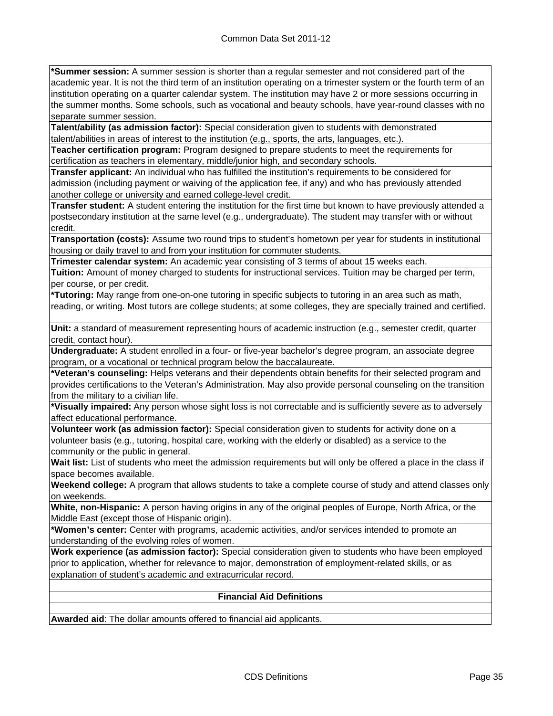**\*Summer session:** A summer session is shorter than a regular semester and not considered part of the academic year. It is not the third term of an institution operating on a trimester system or the fourth term of an institution operating on a quarter calendar system. The institution may have 2 or more sessions occurring in the summer months. Some schools, such as vocational and beauty schools, have year-round classes with no separate summer session.

**Talent/ability (as admission factor):** Special consideration given to students with demonstrated talent/abilities in areas of interest to the institution (e.g., sports, the arts, languages, etc.).

**Teacher certification program:** Program designed to prepare students to meet the requirements for certification as teachers in elementary, middle/junior high, and secondary schools.

**Transfer applicant:** An individual who has fulfilled the institution's requirements to be considered for admission (including payment or waiving of the application fee, if any) and who has previously attended another college or university and earned college-level credit.

**Transfer student:** A student entering the institution for the first time but known to have previously attended a postsecondary institution at the same level (e.g., undergraduate). The student may transfer with or without credit.

**Transportation (costs):** Assume two round trips to student's hometown per year for students in institutional housing or daily travel to and from your institution for commuter students.

**Trimester calendar system:** An academic year consisting of 3 terms of about 15 weeks each.

**Tuition:** Amount of money charged to students for instructional services. Tuition may be charged per term, per course, or per credit.

**\*Tutoring:** May range from one-on-one tutoring in specific subjects to tutoring in an area such as math, reading, or writing. Most tutors are college students; at some colleges, they are specially trained and certified.

**Unit:** a standard of measurement representing hours of academic instruction (e.g., semester credit, quarter credit, contact hour).

**Undergraduate:** A student enrolled in a four- or five-year bachelor's degree program, an associate degree program, or a vocational or technical program below the baccalaureate.

**\*Veteran's counseling:** Helps veterans and their dependents obtain benefits for their selected program and provides certifications to the Veteran's Administration. May also provide personal counseling on the transition from the military to a civilian life.

**\*Visually impaired:** Any person whose sight loss is not correctable and is sufficiently severe as to adversely affect educational performance.

**Volunteer work (as admission factor):** Special consideration given to students for activity done on a volunteer basis (e.g., tutoring, hospital care, working with the elderly or disabled) as a service to the community or the public in general.

**Wait list:** List of students who meet the admission requirements but will only be offered a place in the class if space becomes available.

**Weekend college:** A program that allows students to take a complete course of study and attend classes only on weekends.

**White, non-Hispanic:** A person having origins in any of the original peoples of Europe, North Africa, or the Middle East (except those of Hispanic origin).

**\*Women's center:** Center with programs, academic activities, and/or services intended to promote an understanding of the evolving roles of women.

**Work experience (as admission factor):** Special consideration given to students who have been employed prior to application, whether for relevance to major, demonstration of employment-related skills, or as explanation of student's academic and extracurricular record.

### **Financial Aid Definitions**

**Awarded aid**: The dollar amounts offered to financial aid applicants.